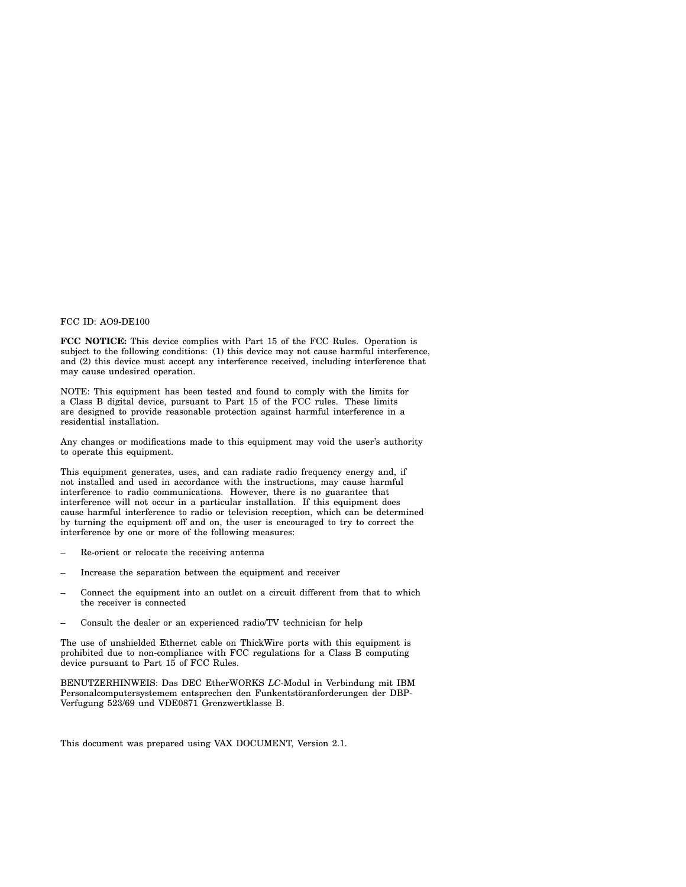#### FCC ID: AO9-DE100

**FCC NOTICE:** This device complies with Part 15 of the FCC Rules. Operation is subject to the following conditions: (1) this device may not cause harmful interference, and (2) this device must accept any interference received, including interference that may cause undesired operation.

NOTE: This equipment has been tested and found to comply with the limits for a Class B digital device, pursuant to Part 15 of the FCC rules. These limits are designed to provide reasonable protection against harmful interference in a residential installation.

Any changes or modifications made to this equipment may void the user's authority to operate this equipment.

This equipment generates, uses, and can radiate radio frequency energy and, if not installed and used in accordance with the instructions, may cause harmful interference to radio communications. However, there is no guarantee that interference will not occur in a particular installation. If this equipment does cause harmful interference to radio or television reception, which can be determined by turning the equipment off and on, the user is encouraged to try to correct the interference by one or more of the following measures:

- Re-orient or relocate the receiving antenna
- Increase the separation between the equipment and receiver
- Connect the equipment into an outlet on a circuit different from that to which the receiver is connected
- Consult the dealer or an experienced radio/TV technician for help

The use of unshielded Ethernet cable on ThickWire ports with this equipment is prohibited due to non-compliance with FCC regulations for a Class B computing device pursuant to Part 15 of FCC Rules.

BENUTZERHINWEIS: Das DEC EtherWORKS *LC*-Modul in Verbindung mit IBM Personalcomputersystemem entsprechen den Funkentstöranforderungen der DBP-Verfugung 523/69 und VDE0871 Grenzwertklasse B.

This document was prepared using VAX DOCUMENT, Version 2.1.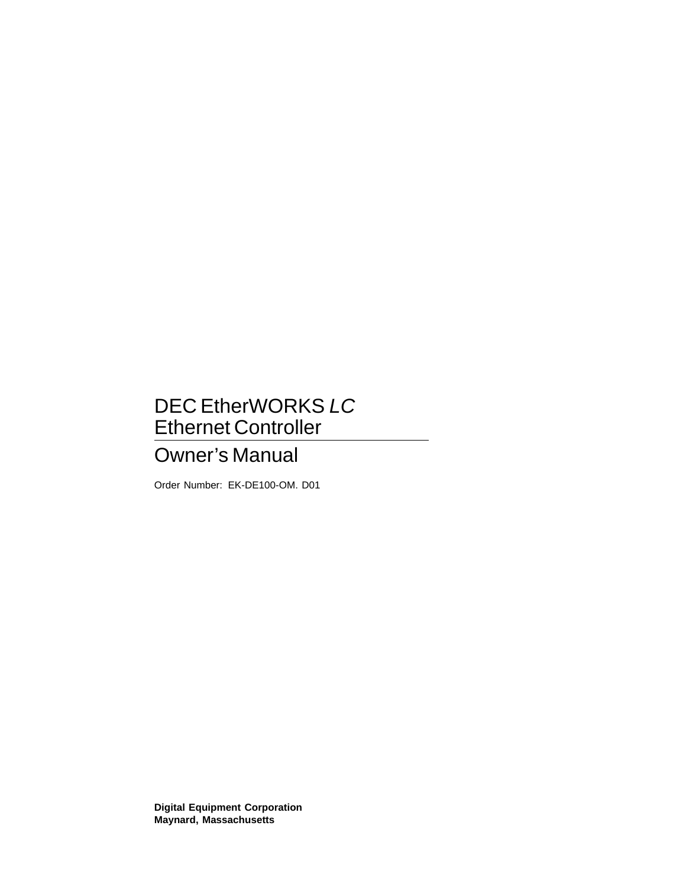# DEC EtherWORKS LC Ethernet Controller

# Owner's Manual

Order Number: EK-DE100-OM. D01

**Digital Equipment Corporation Maynard, Massachusetts**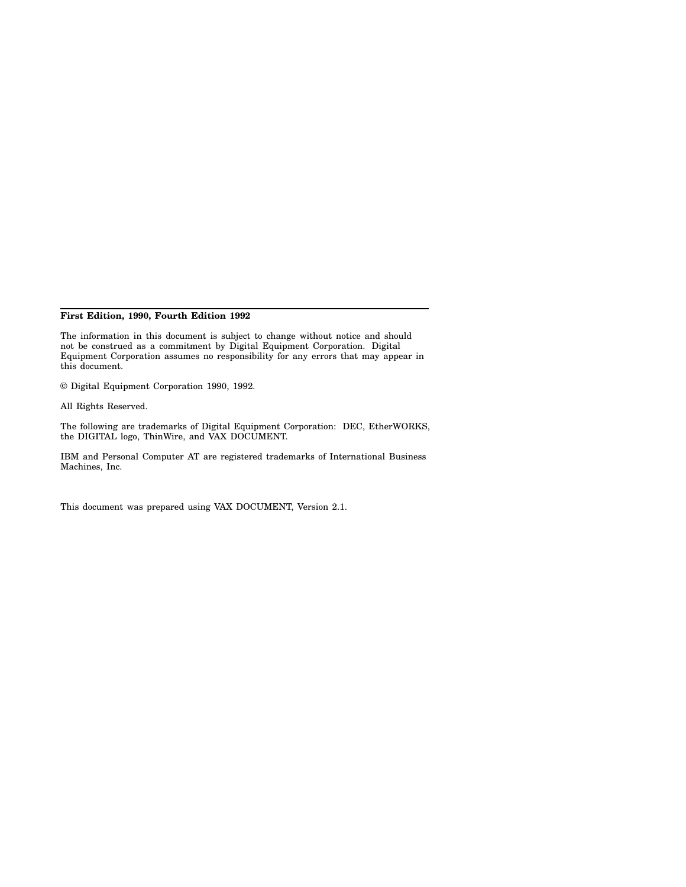#### **First Edition, 1990, Fourth Edition 1992**

The information in this document is subject to change without notice and should not be construed as a commitment by Digital Equipment Corporation. Digital Equipment Corporation assumes no responsibility for any errors that may appear in this document.

© Digital Equipment Corporation 1990, 1992.

All Rights Reserved.

The following are trademarks of Digital Equipment Corporation: DEC, EtherWORKS, the DIGITAL logo, ThinWire, and VAX DOCUMENT.

IBM and Personal Computer AT are registered trademarks of International Business Machines, Inc.

This document was prepared using VAX DOCUMENT, Version 2.1.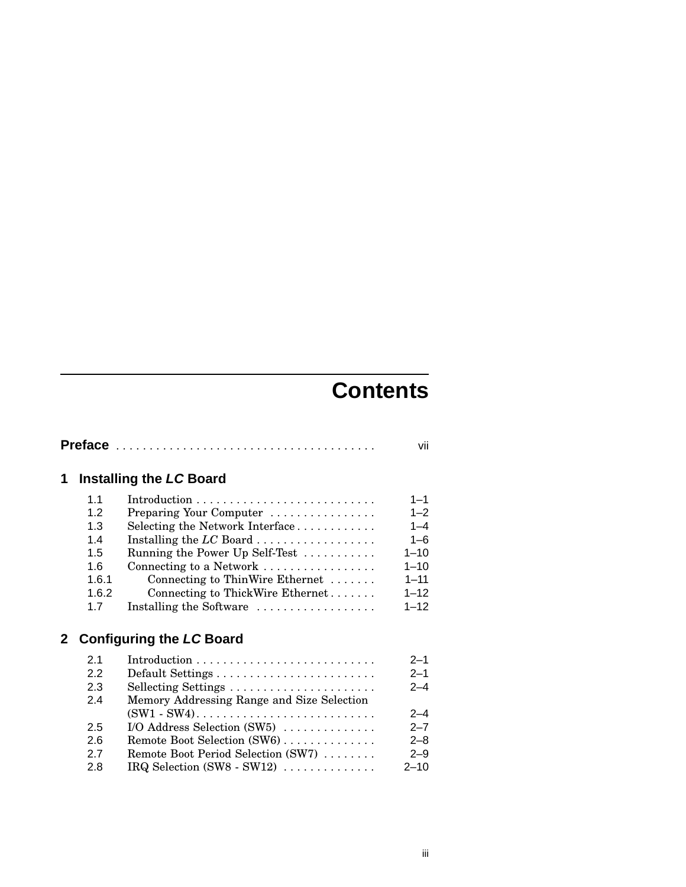# **Contents**

| 1            |                                                                | <b>Installing the LC Board</b>                                                                                                                                                                                                                                      |                                                                                                      |  |
|--------------|----------------------------------------------------------------|---------------------------------------------------------------------------------------------------------------------------------------------------------------------------------------------------------------------------------------------------------------------|------------------------------------------------------------------------------------------------------|--|
|              | 1.1<br>12<br>1.3<br>1.4<br>1.5<br>1.6<br>1.6.1<br>1.6.2<br>1.7 | Preparing Your Computer<br>Selecting the Network Interface<br>Installing the $LC$ Board<br>Running the Power Up Self-Test<br>Connecting to a Network<br>Connecting to ThinWire Ethernet $\dots\dots$<br>Connecting to ThickWire Ethernet<br>Installing the Software | $1 - 1$<br>$1 - 2$<br>$1 - 4$<br>$1 - 6$<br>$1 - 10$<br>$1 - 10$<br>$1 - 11$<br>$1 - 12$<br>$1 - 12$ |  |
| $\mathbf{2}$ |                                                                | <b>Configuring the LC Board</b>                                                                                                                                                                                                                                     |                                                                                                      |  |
|              | 2.1<br>2.2<br>2.3<br>2.4<br>2.5<br>2.6<br>2.7<br>2.8           | Memory Addressing Range and Size Selection<br>I/O Address Selection $(SW5)$<br>Remote Boot Selection (SW6)<br>Remote Boot Period Selection (SW7)<br>IRQ Selection $(SW8 - SW12)$                                                                                    | $2 - 1$<br>$2 - 1$<br>$2 - 4$<br>$2 - 4$<br>$2 - 7$<br>$2 - 8$<br>$2 - 9$<br>$2 - 10$                |  |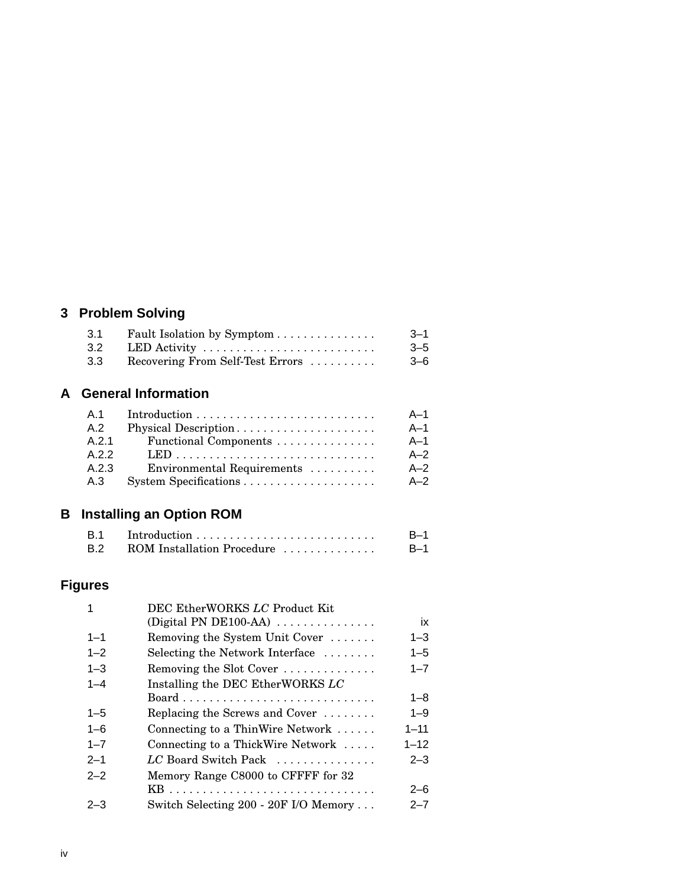# **3 Problem Solving**

| 3.1 | Fault Isolation by Symptom       | $3 - 1$ |
|-----|----------------------------------|---------|
| 3.2 | LED Activity                     | $3 - 5$ |
| 3.3 | Recovering From Self-Test Errors | $3 - 6$ |

#### **A General Information**

| A.1   |                            | $A-1$ |
|-------|----------------------------|-------|
| A.2   | Physical Description       | $A-1$ |
| A 2.1 | Functional Components      | $A-1$ |
| A.2.2 |                            | $A-2$ |
| A.2.3 | Environmental Requirements | $A-2$ |
| A.3   |                            | $A-2$ |

# **B Installing an Option ROM**

|                                | $B-1$ |
|--------------------------------|-------|
| B.2 ROM Installation Procedure | $B-1$ |

## **Figures**

| 1       | DEC EtherWORKS LC Product Kit                       |          |
|---------|-----------------------------------------------------|----------|
|         | (Digital PN DE100-AA) $\ldots \ldots \ldots \ldots$ | ix       |
| $1 - 1$ | Removing the System Unit Cover                      | $1 - 3$  |
| $1 - 2$ | Selecting the Network Interface $\dots\dots$        | $1 - 5$  |
| $1 - 3$ | Removing the Slot Cover                             | $1 - 7$  |
| $1 - 4$ | Installing the DEC EtherWORKS LC                    |          |
|         |                                                     | $1 - 8$  |
| $1 - 5$ | Replacing the Screws and Cover $\dots\dots$         | $1 - 9$  |
| $1 - 6$ | Connecting to a ThinWire Network                    | $1 - 11$ |
| $1 - 7$ | Connecting to a ThickWire Network                   | $1 - 12$ |
| $2 - 1$ | LC Board Switch Pack                                | $2 - 3$  |
| $2 - 2$ | Memory Range C8000 to CFFFF for 32                  |          |
|         |                                                     | $2 - 6$  |
| $2 - 3$ | Switch Selecting 200 - 20F I/O Memory               | $2 - 7$  |
|         |                                                     |          |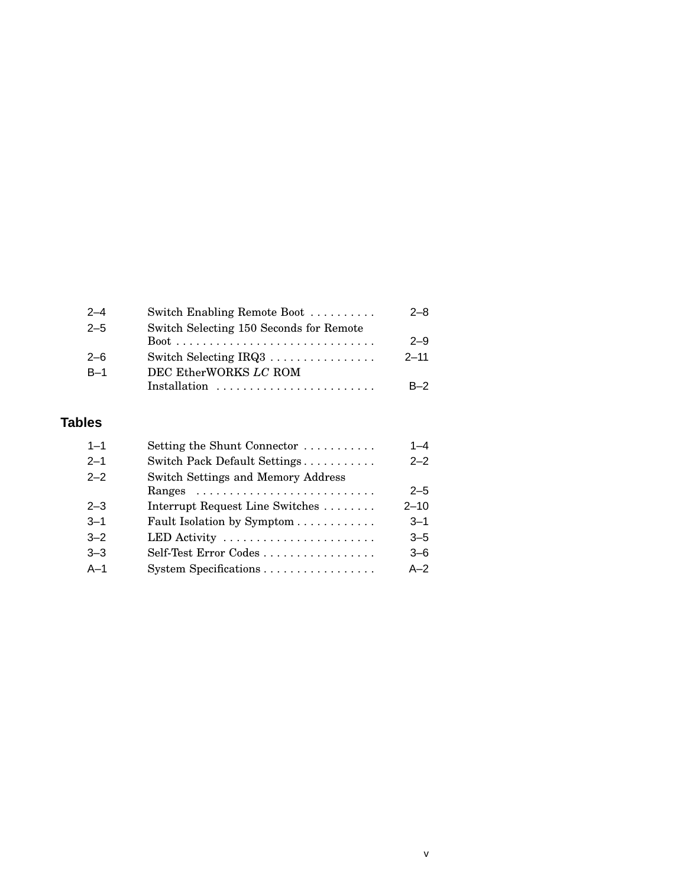| Switch Enabling Remote Boot             | $2 - 8$  |
|-----------------------------------------|----------|
| Switch Selecting 150 Seconds for Remote |          |
|                                         | $2 - 9$  |
| Switch Selecting IRQ3                   | $2 - 11$ |
| DEC EtherWORKS LC ROM                   |          |
| Installation                            | $R-2$    |
|                                         |          |

## **Tables**

| $1 - 1$ | Setting the Shunt Connector        | $1 - 4$  |
|---------|------------------------------------|----------|
| $2 - 1$ | Switch Pack Default Settings       | $2 - 2$  |
| $2 - 2$ | Switch Settings and Memory Address |          |
|         |                                    | $2 - 5$  |
| $2 - 3$ | Interrupt Request Line Switches    | $2 - 10$ |
| $3 - 1$ | Fault Isolation by Symptom         | $3 - 1$  |
| $3 - 2$ | LED Activity                       | $3 - 5$  |
| $3 - 3$ | Self-Test Error Codes              | $3 - 6$  |
| $A-1$   | System Specifications              | $A-2$    |
|         |                                    |          |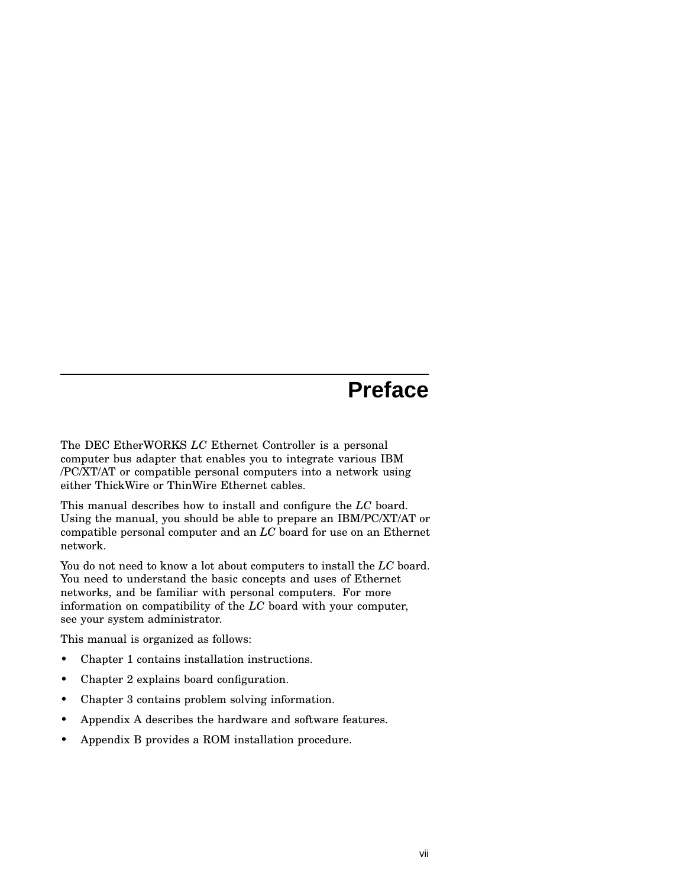# **Preface**

The DEC EtherWORKS *LC* Ethernet Controller is a personal computer bus adapter that enables you to integrate various IBM /PC/XT/AT or compatible personal computers into a network using either ThickWire or ThinWire Ethernet cables.

This manual describes how to install and configure the *LC* board. Using the manual, you should be able to prepare an IBM/PC/XT/AT or compatible personal computer and an *LC* board for use on an Ethernet network.

You do not need to know a lot about computers to install the *LC* board. You need to understand the basic concepts and uses of Ethernet networks, and be familiar with personal computers. For more information on compatibility of the *LC* board with your computer, see your system administrator.

This manual is organized as follows:

- Chapter 1 contains installation instructions.
- Chapter 2 explains board configuration.
- Chapter 3 contains problem solving information.
- Appendix A describes the hardware and software features.
- Appendix B provides a ROM installation procedure.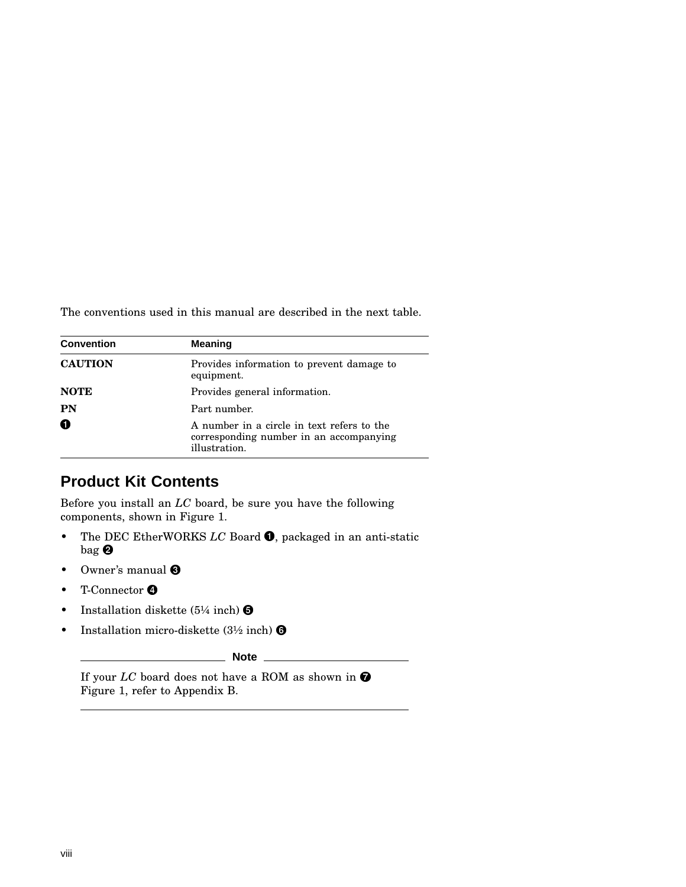The conventions used in this manual are described in the next table.

| <b>Convention</b> | <b>Meaning</b>                                                                                         |
|-------------------|--------------------------------------------------------------------------------------------------------|
| <b>CAUTION</b>    | Provides information to prevent damage to<br>equipment.                                                |
| <b>NOTE</b>       | Provides general information.                                                                          |
| PN                | Part number.                                                                                           |
| 0                 | A number in a circle in text refers to the<br>corresponding number in an accompanying<br>illustration. |

#### **Product Kit Contents**

Before you install an *LC* board, be sure you have the following components, shown in Figure 1.

- The DEC EtherWORKS *LC* Board  $\bullet$ , packaged in an anti-static bag <sup>O</sup>
- Owner's manual  $\Theta$
- T-Connector  $\bullet$
- Installation diskette  $(5\frac{1}{4} \text{ inch})$   $\Theta$
- Installation micro-diskette  $(3\frac{1}{2} \text{ inch})$   $\odot$

**Note**

If your  $LC$  board does not have a ROM as shown in  $\bullet$ Figure 1, refer to Appendix B.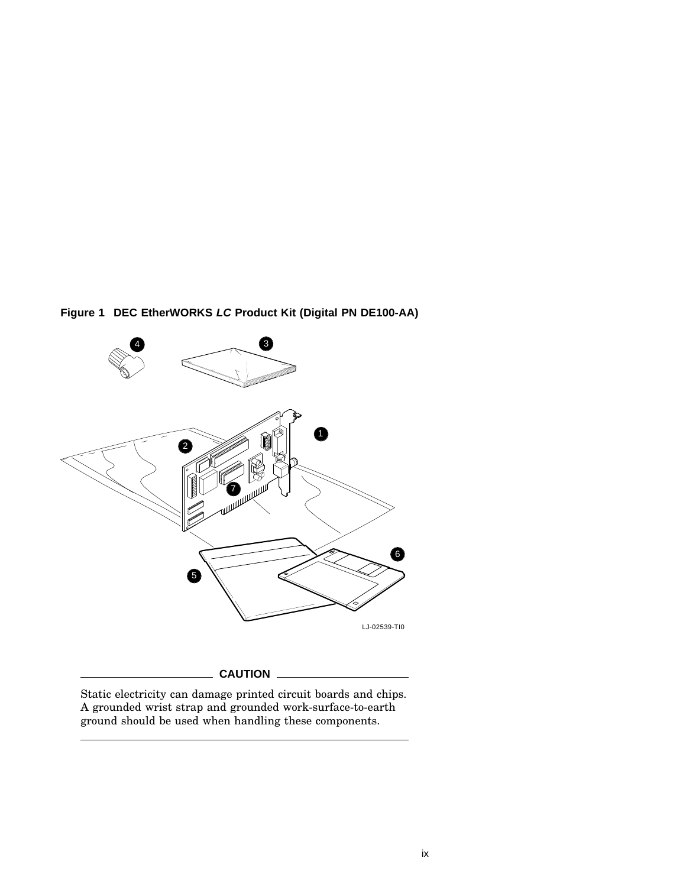



Static electricity can damage printed circuit boards and chips. A grounded wrist strap and grounded work-surface-to-earth ground should be used when handling these components.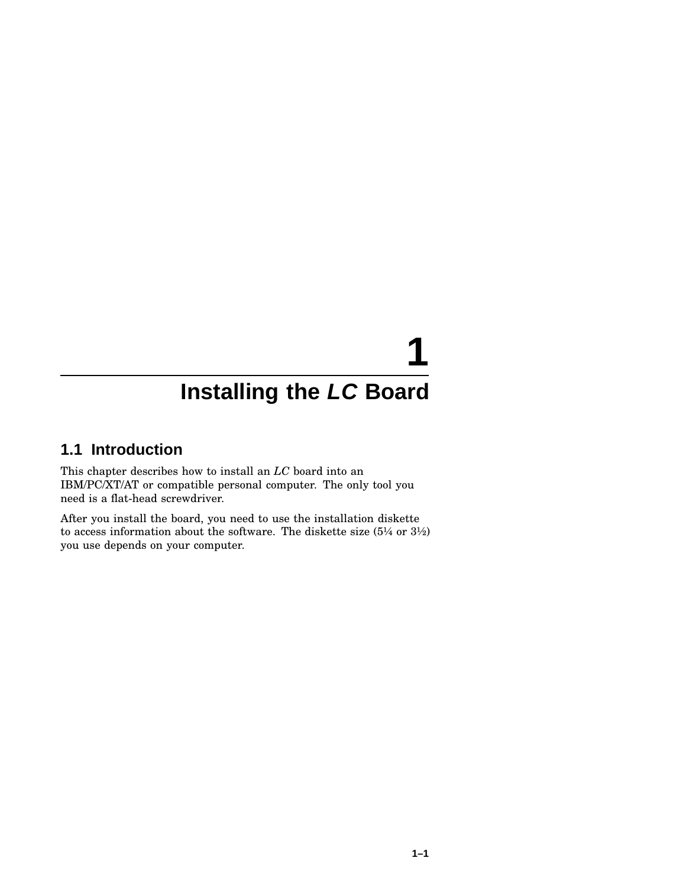# **1**

# **Installing the LC Board**

#### **1.1 Introduction**

This chapter describes how to install an *LC* board into an IBM/PC/XT/AT or compatible personal computer. The only tool you need is a flat-head screwdriver.

After you install the board, you need to use the installation diskette to access information about the software. The diskette size  $(5\frac{1}{4}$  or  $3\frac{1}{2})$ you use depends on your computer.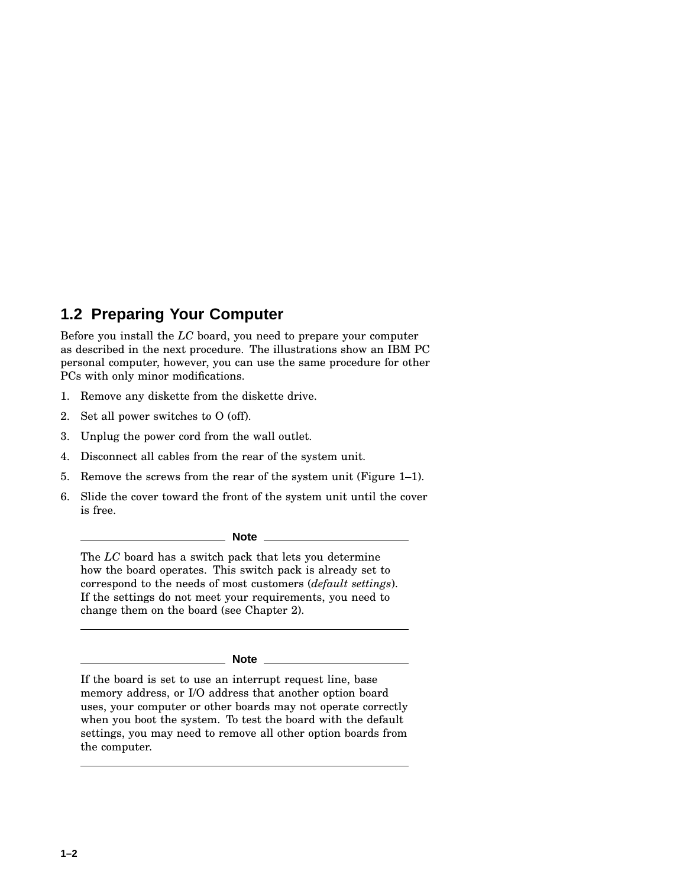#### **1.2 Preparing Your Computer**

Before you install the *LC* board, you need to prepare your computer as described in the next procedure. The illustrations show an IBM PC personal computer, however, you can use the same procedure for other PCs with only minor modifications.

- 1. Remove any diskette from the diskette drive.
- 2. Set all power switches to O (off).
- 3. Unplug the power cord from the wall outlet.
- 4. Disconnect all cables from the rear of the system unit.
- 5. Remove the screws from the rear of the system unit (Figure 1–1).
- 6. Slide the cover toward the front of the system unit until the cover is free.

**Note** \_\_\_

The *LC* board has a switch pack that lets you determine how the board operates. This switch pack is already set to correspond to the needs of most customers (*default settings*). If the settings do not meet your requirements, you need to change them on the board (see Chapter 2).

**Note**

If the board is set to use an interrupt request line, base memory address, or I/O address that another option board uses, your computer or other boards may not operate correctly when you boot the system. To test the board with the default settings, you may need to remove all other option boards from the computer.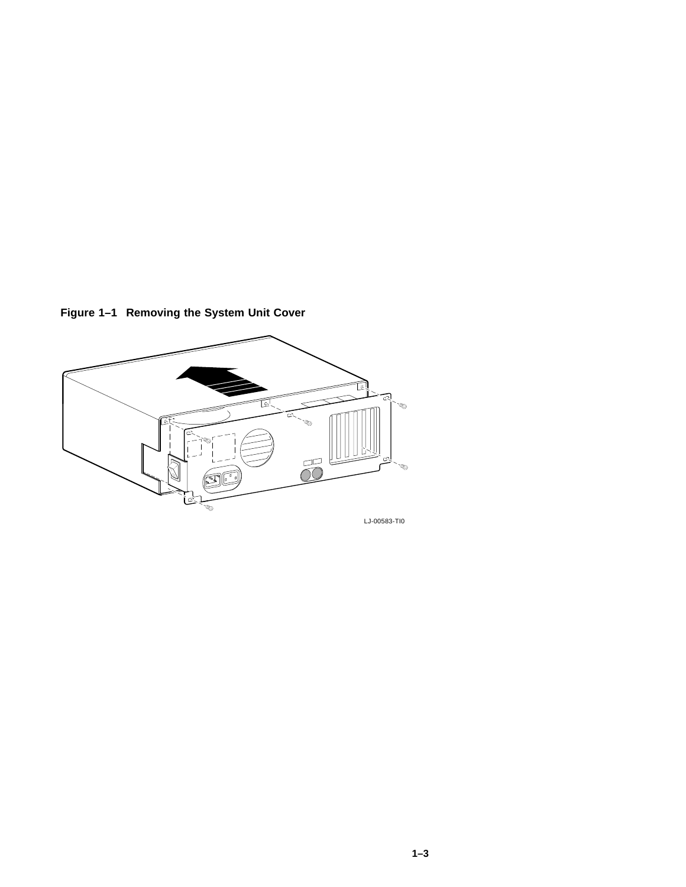**Figure 1–1 Removing the System Unit Cover**

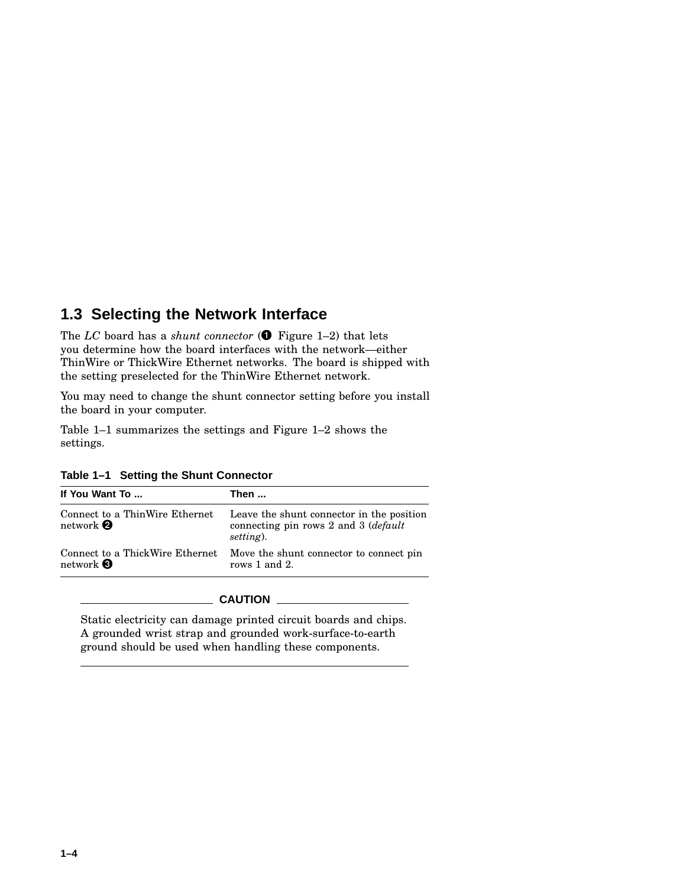#### **1.3 Selecting the Network Interface**

The *LC* board has a *shunt connector* ( Figure 1–2) that lets you determine how the board interfaces with the network—either ThinWire or ThickWire Ethernet networks. The board is shipped with the setting preselected for the ThinWire Ethernet network.

You may need to change the shunt connector setting before you install the board in your computer.

Table 1–1 summarizes the settings and Figure 1–2 shows the settings.

|  |  |  |  | Table 1-1 Setting the Shunt Connector |
|--|--|--|--|---------------------------------------|
|--|--|--|--|---------------------------------------|

| If You Want To                                                   | Then                                                                                                     |
|------------------------------------------------------------------|----------------------------------------------------------------------------------------------------------|
| Connect to a ThinWire Ethernet<br>network <sup>2</sup>           | Leave the shunt connector in the position<br>connecting pin rows 2 and 3 ( <i>default</i> )<br>setting). |
| Connect to a ThickWire Ethernet<br>network $\boldsymbol{\Theta}$ | Move the shunt connector to connect pin<br>rows 1 and 2.                                                 |

#### **CAUTION**

Static electricity can damage printed circuit boards and chips. A grounded wrist strap and grounded work-surface-to-earth ground should be used when handling these components.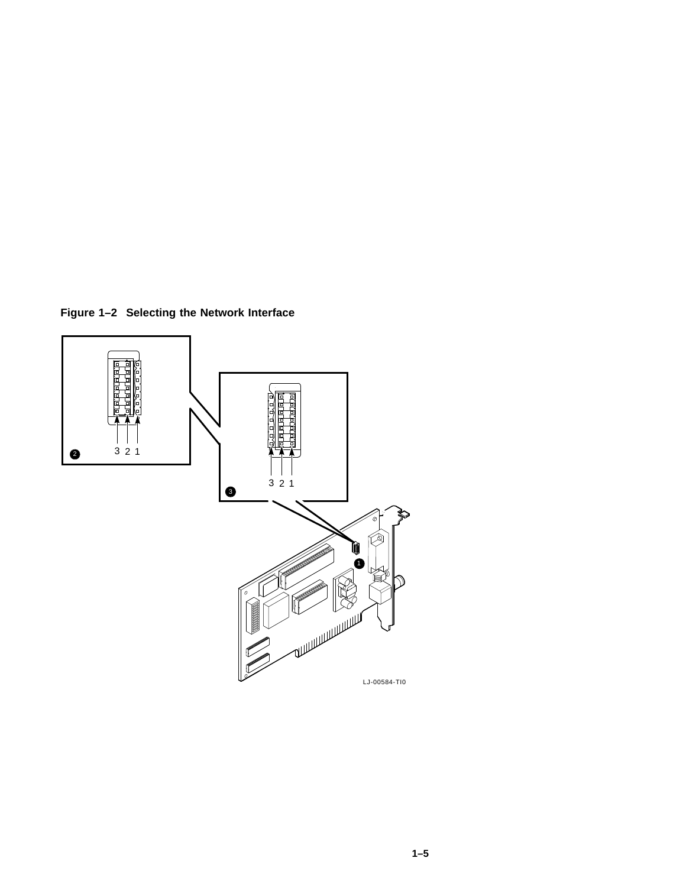**Figure 1–2 Selecting the Network Interface**

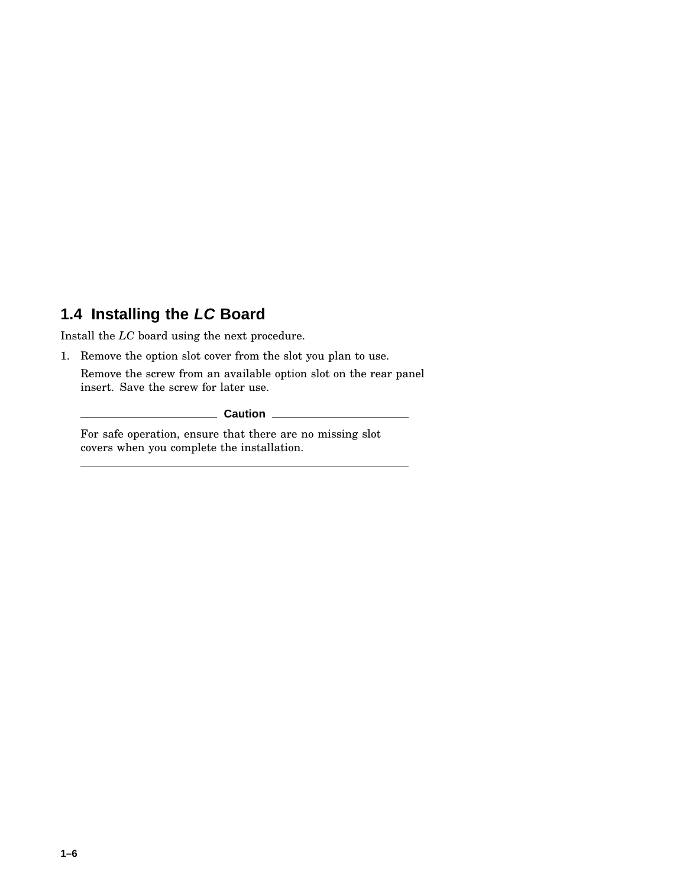## **1.4 Installing the LC Board**

Install the *LC* board using the next procedure.

1. Remove the option slot cover from the slot you plan to use.

Remove the screw from an available option slot on the rear panel insert. Save the screw for later use.

**Caution**

For safe operation, ensure that there are no missing slot covers when you complete the installation.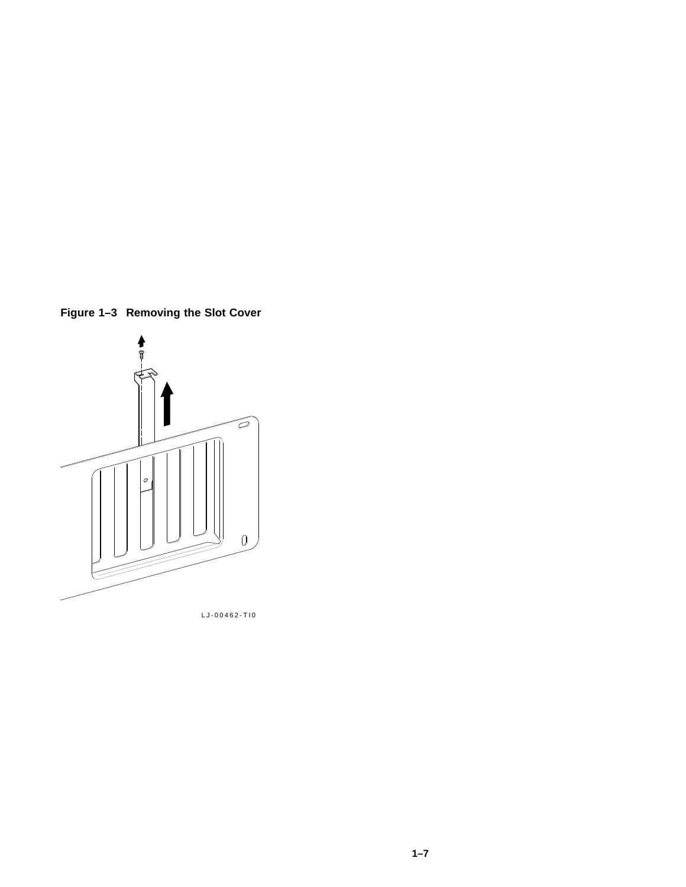**Figure 1–3 Removing the Slot Cover**



LJ-00462-TI0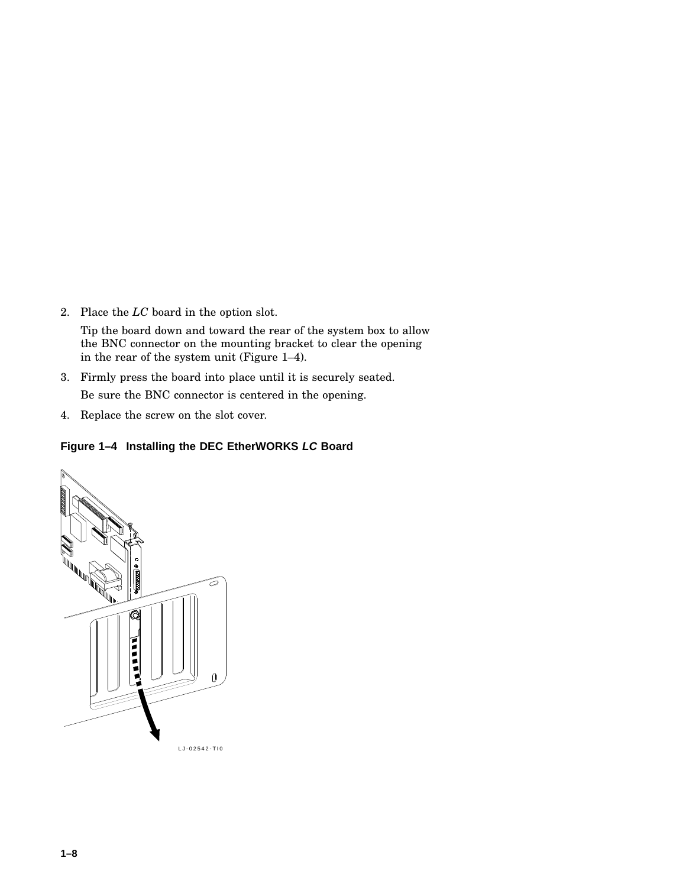2. Place the *LC* board in the option slot.

Tip the board down and toward the rear of the system box to allow the BNC connector on the mounting bracket to clear the opening in the rear of the system unit (Figure 1–4).

- 3. Firmly press the board into place until it is securely seated. Be sure the BNC connector is centered in the opening.
- 4. Replace the screw on the slot cover.

#### **Figure 1–4 Installing the DEC EtherWORKS LC Board**

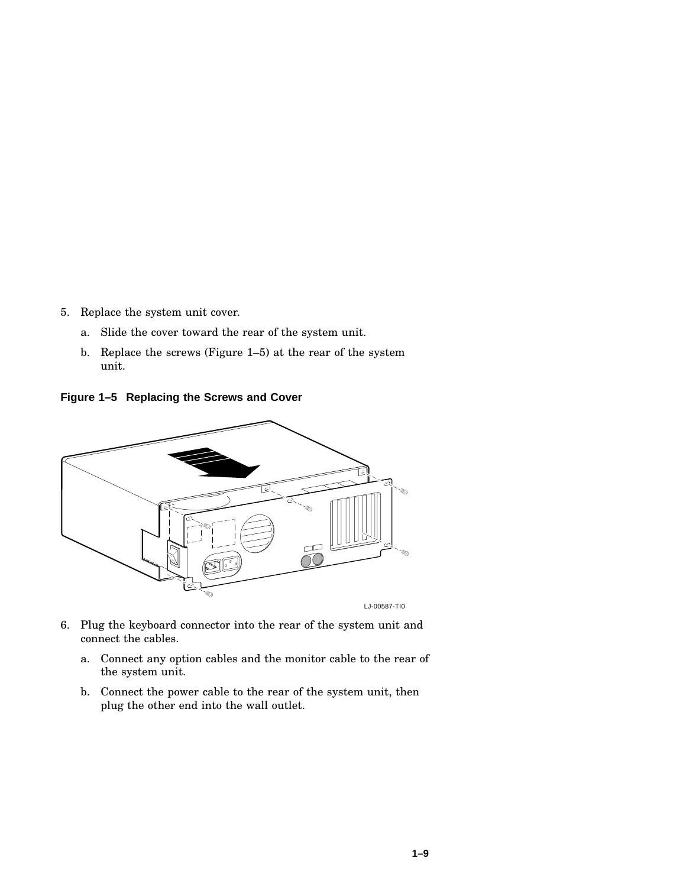- 5. Replace the system unit cover.
	- a. Slide the cover toward the rear of the system unit.
	- b. Replace the screws (Figure 1–5) at the rear of the system unit.

**Figure 1–5 Replacing the Screws and Cover**



- 6. Plug the keyboard connector into the rear of the system unit and connect the cables.
	- a. Connect any option cables and the monitor cable to the rear of the system unit.
	- b. Connect the power cable to the rear of the system unit, then plug the other end into the wall outlet.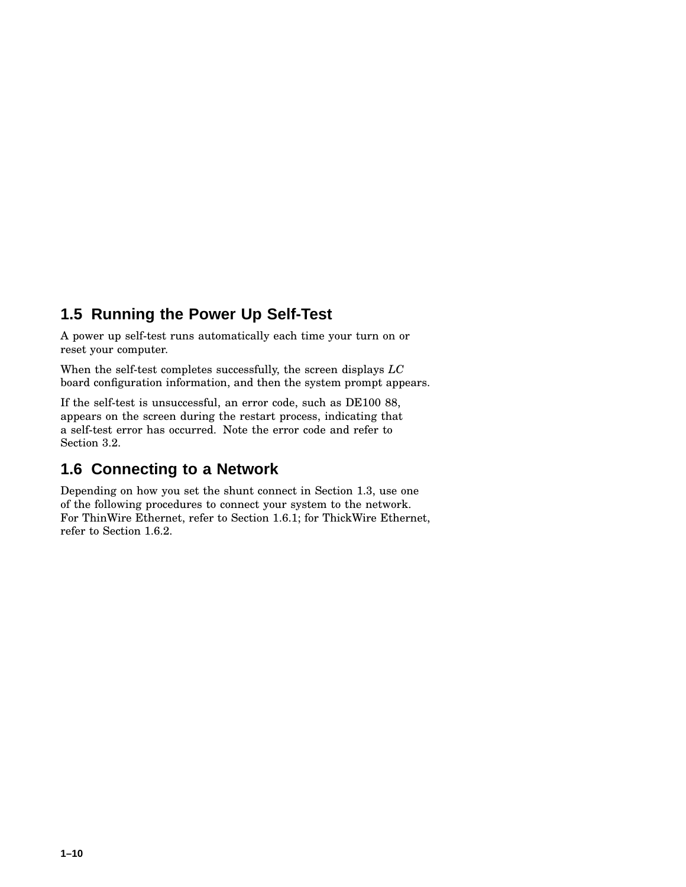## **1.5 Running the Power Up Self-Test**

A power up self-test runs automatically each time your turn on or reset your computer.

When the self-test completes successfully, the screen displays *LC* board configuration information, and then the system prompt appears.

If the self-test is unsuccessful, an error code, such as DE100 88, appears on the screen during the restart process, indicating that a self-test error has occurred. Note the error code and refer to Section 3.2.

#### **1.6 Connecting to a Network**

Depending on how you set the shunt connect in Section 1.3, use one of the following procedures to connect your system to the network. For ThinWire Ethernet, refer to Section 1.6.1; for ThickWire Ethernet, refer to Section 1.6.2.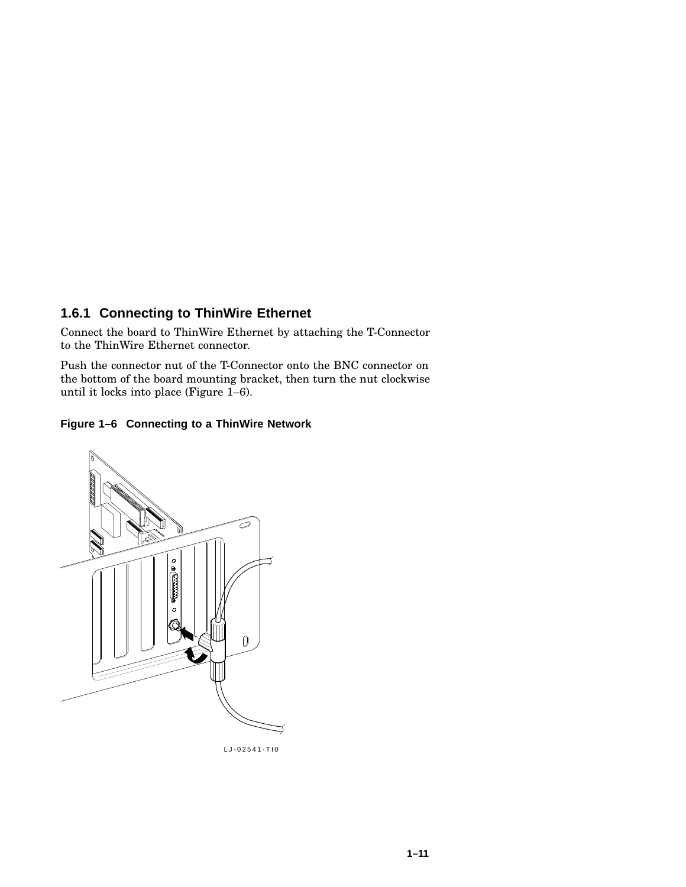#### **1.6.1 Connecting to ThinWire Ethernet**

Connect the board to ThinWire Ethernet by attaching the T-Connector to the ThinWire Ethernet connector.

Push the connector nut of the T-Connector onto the BNC connector on the bottom of the board mounting bracket, then turn the nut clockwise until it locks into place (Figure 1–6).





LJ-02541-TI0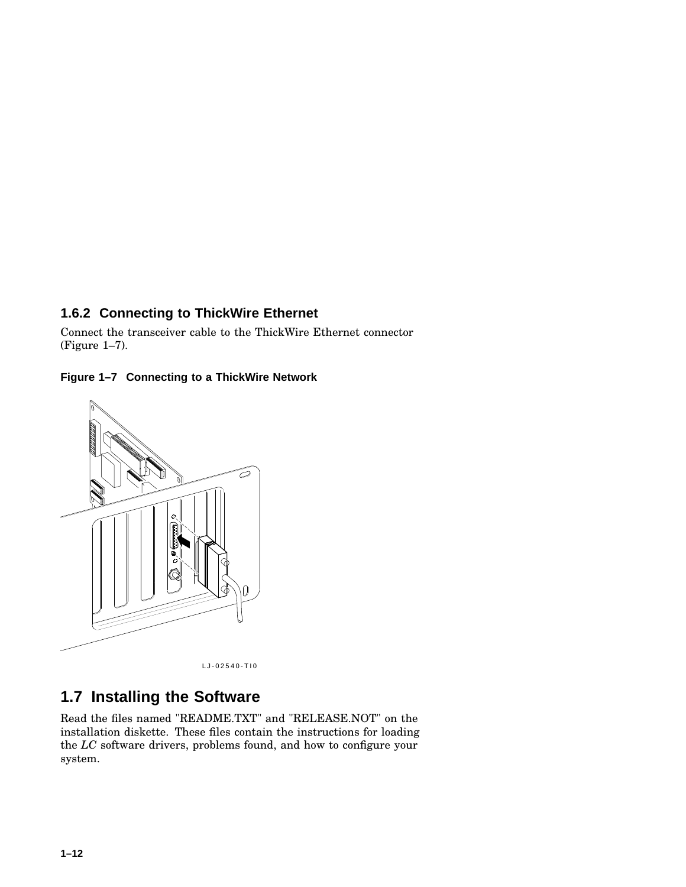#### **1.6.2 Connecting to ThickWire Ethernet**

Connect the transceiver cable to the ThickWire Ethernet connector (Figure 1–7).





LJ-02540-TI0

## **1.7 Installing the Software**

Read the files named "README.TXT" and "RELEASE.NOT" on the installation diskette. These files contain the instructions for loading the *LC* software drivers, problems found, and how to configure your system.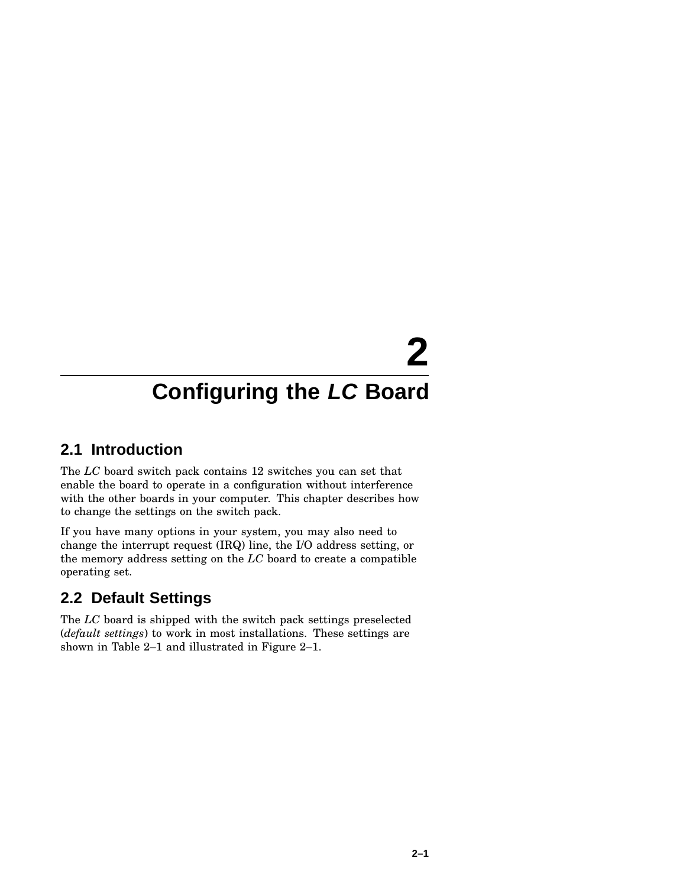# **2**

# **Configuring the LC Board**

## **2.1 Introduction**

The *LC* board switch pack contains 12 switches you can set that enable the board to operate in a configuration without interference with the other boards in your computer. This chapter describes how to change the settings on the switch pack.

If you have many options in your system, you may also need to change the interrupt request (IRQ) line, the I/O address setting, or the memory address setting on the *LC* board to create a compatible operating set.

## **2.2 Default Settings**

The *LC* board is shipped with the switch pack settings preselected (*default settings*) to work in most installations. These settings are shown in Table 2–1 and illustrated in Figure 2–1.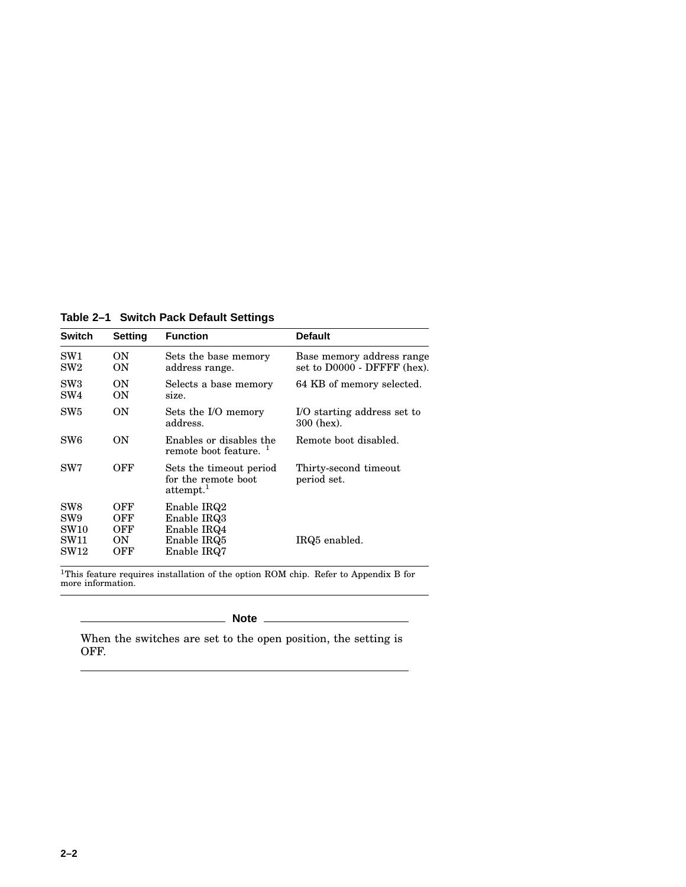**Table 2–1 Switch Pack Default Settings**

| <b>Switch</b>                                                             | Setting                        | <b>Function</b>                                                         | <b>Default</b>                                           |
|---------------------------------------------------------------------------|--------------------------------|-------------------------------------------------------------------------|----------------------------------------------------------|
| SW1<br>${\rm SW2}$                                                        | ON<br>ON                       | Sets the base memory<br>address range.                                  | Base memory address range<br>set to D0000 - DFFFF (hex). |
| SW3<br>SW4                                                                | ON<br>ON                       | Selects a base memory<br>size.                                          | 64 KB of memory selected.                                |
| SW5                                                                       | ON                             | Sets the I/O memory<br>address.                                         | I/O starting address set to<br>300 (hex).                |
| SW <sub>6</sub>                                                           | ON                             | Enables or disables the<br>remote boot feature. <sup>1</sup>            | Remote boot disabled.                                    |
| SW7                                                                       | OFF                            | Sets the timeout period<br>for the remote boot<br>attempt. <sup>1</sup> | Thirty-second timeout<br>period set.                     |
| SW <sub>8</sub><br>SW <sub>9</sub><br><b>SW10</b><br>SW11<br>${\rm SW12}$ | OFF<br>OFF<br>OFF<br>ON<br>OFF | Enable IRQ2<br>Enable IRQ3<br>Enable IRQ4<br>Enable IRQ5<br>Enable IRQ7 | IRQ5 enabled.                                            |

<sup>1</sup>This feature requires installation of the option ROM chip. Refer to Appendix B for<br>more information.

**Note**

When the switches are set to the open position, the setting is OFF.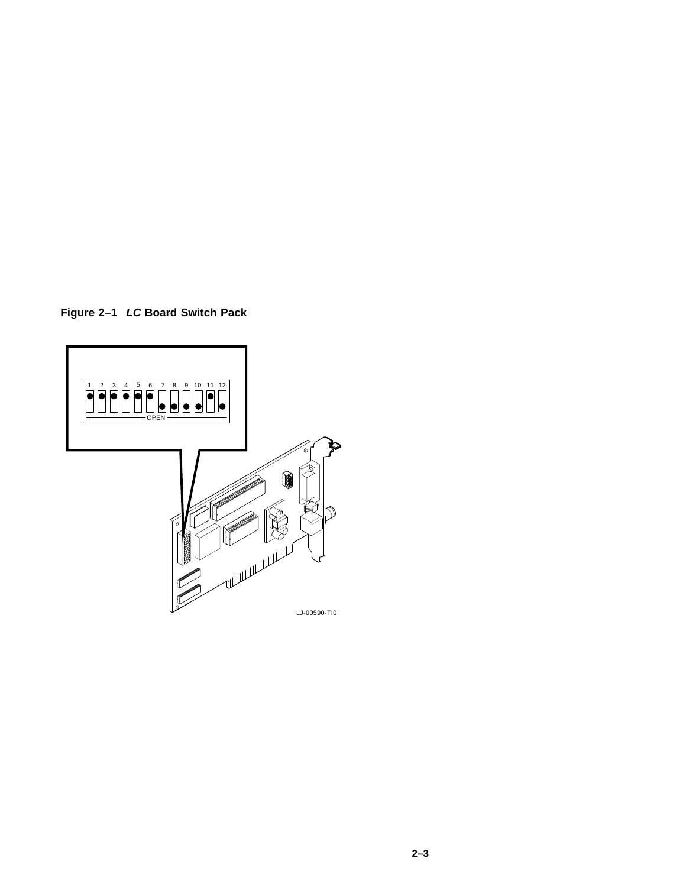**Figure 2–1 LC Board Switch Pack**

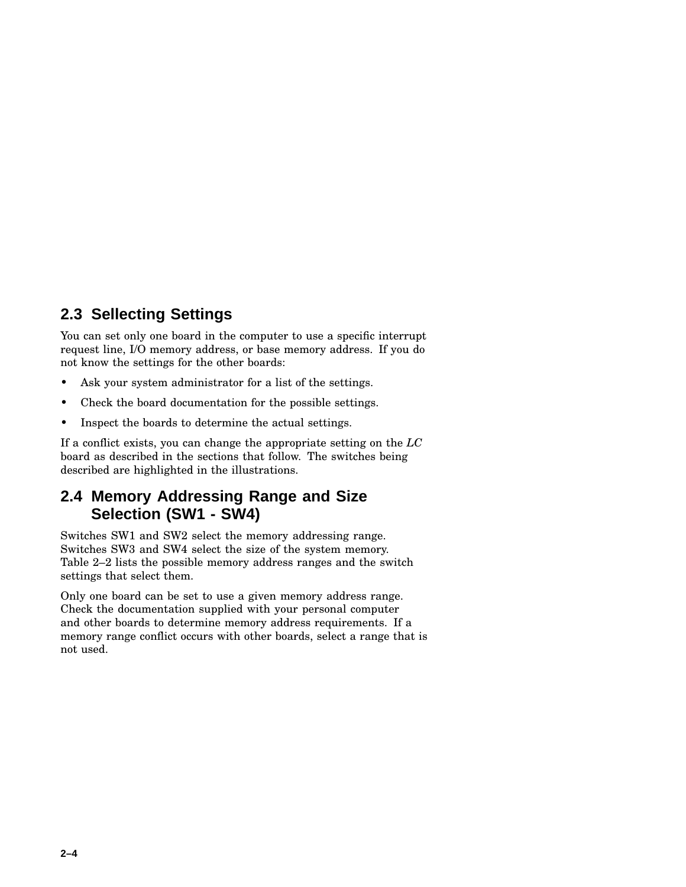#### **2.3 Sellecting Settings**

You can set only one board in the computer to use a specific interrupt request line, I/O memory address, or base memory address. If you do not know the settings for the other boards:

- Ask your system administrator for a list of the settings.
- Check the board documentation for the possible settings.
- Inspect the boards to determine the actual settings.

If a conflict exists, you can change the appropriate setting on the *LC* board as described in the sections that follow. The switches being described are highlighted in the illustrations.

#### **2.4 Memory Addressing Range and Size Selection (SW1 - SW4)**

Switches SW1 and SW2 select the memory addressing range. Switches SW3 and SW4 select the size of the system memory. Table 2–2 lists the possible memory address ranges and the switch settings that select them.

Only one board can be set to use a given memory address range. Check the documentation supplied with your personal computer and other boards to determine memory address requirements. If a memory range conflict occurs with other boards, select a range that is not used.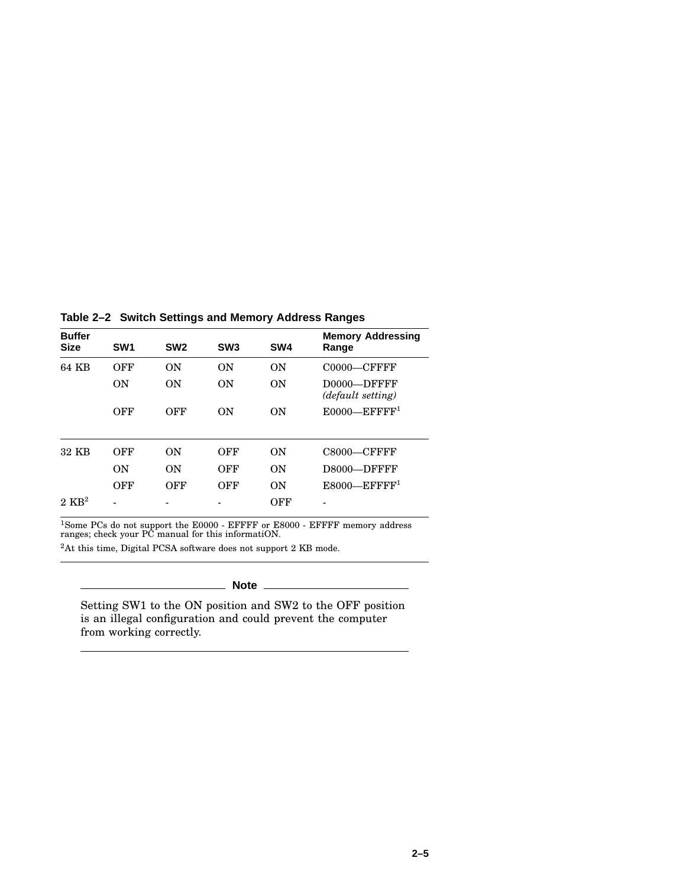**Table 2–2 Switch Settings and Memory Address Ranges**

| <b>Buffer</b><br><b>Size</b> | SW <sub>1</sub> | SW <sub>2</sub> | SW <sub>3</sub> | SW <sub>4</sub> | <b>Memory Addressing</b><br>Range |
|------------------------------|-----------------|-----------------|-----------------|-----------------|-----------------------------------|
| 64 KB                        | OFF             | ON              | ON              | ON              | $CO000$ —CFFFF                    |
|                              | ON              | <b>ON</b>       | ON              | ON              | D0000-DFFFF<br>(default setting)  |
|                              | OFF             | OFF             | ON              | ON              | $E0000$ —EFFFF <sup>1</sup>       |
| 32 KB                        | OFF             | <b>ON</b>       | OFF             | ON              | $C8000$ — $C$ FFFF                |
|                              | ON              | ON              | OFF             | ON              | D8000-DFFFF                       |
|                              | OFF             | OFF             | OFF             | ON              | $E8000$ -EFFFF <sup>1</sup>       |
| $2 \text{ KR}^2$             |                 |                 |                 | OFF             |                                   |

<sup>1</sup>Some PCs do not support the E0000 - EFFFF or E8000 - EFFFF memory address ranges; check your PC manual for this informatiON.

<sup>2</sup>At this time, Digital PCSA software does not support 2 KB mode.

**Note**

Setting SW1 to the ON position and SW2 to the OFF position is an illegal configuration and could prevent the computer from working correctly.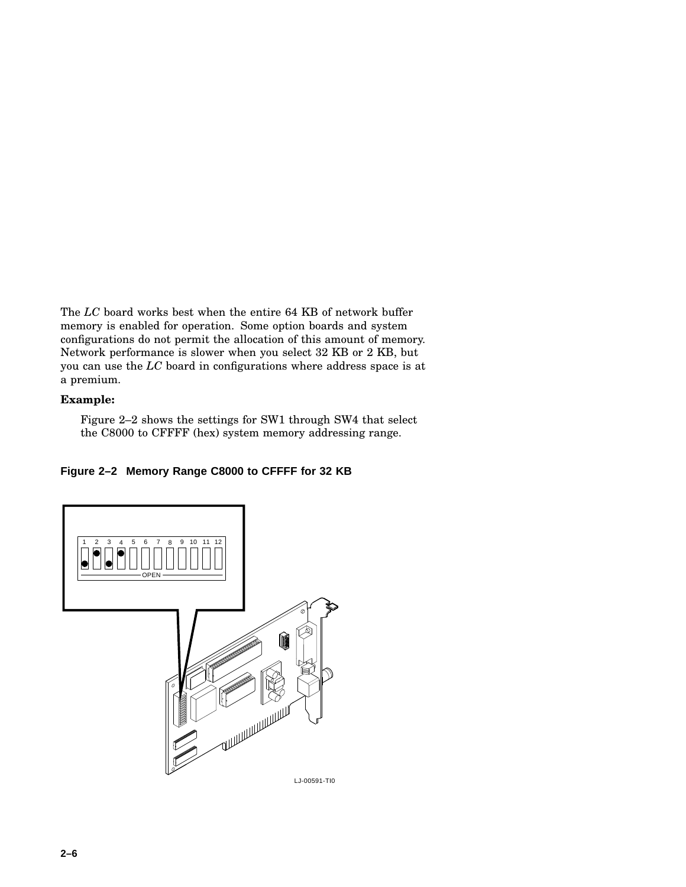The *LC* board works best when the entire 64 KB of network buffer memory is enabled for operation. Some option boards and system configurations do not permit the allocation of this amount of memory. Network performance is slower when you select 32 KB or 2 KB, but you can use the *LC* board in configurations where address space is at a premium.

#### **Example:**

Figure 2–2 shows the settings for SW1 through SW4 that select the C8000 to CFFFF (hex) system memory addressing range.

#### **Figure 2–2 Memory Range C8000 to CFFFF for 32 KB**

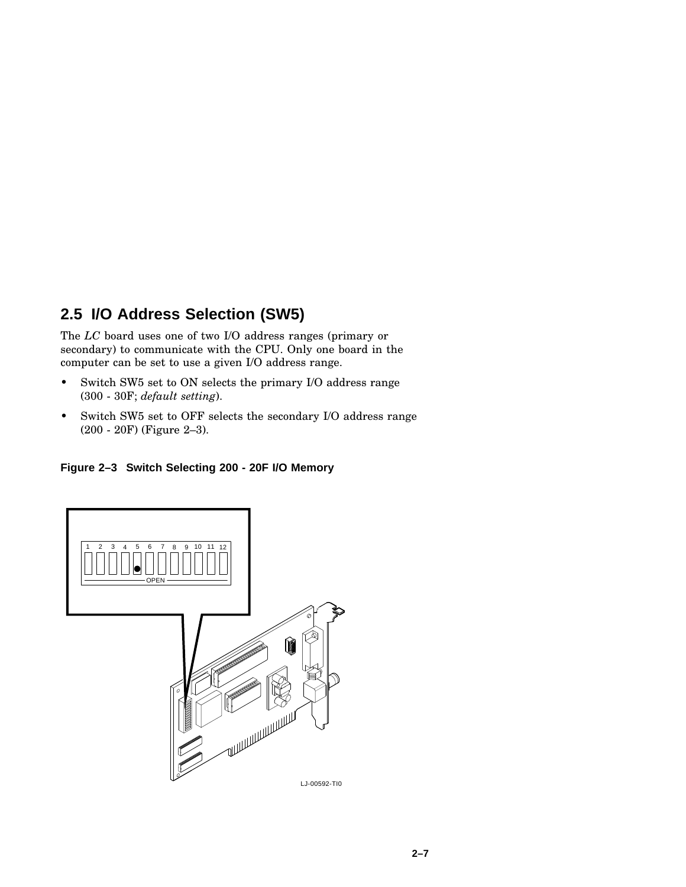#### **2.5 I/O Address Selection (SW5)**

The *LC* board uses one of two I/O address ranges (primary or secondary) to communicate with the CPU. Only one board in the computer can be set to use a given I/O address range.

- Switch SW5 set to ON selects the primary I/O address range (300 - 30F; *default setting*).
- Switch SW5 set to OFF selects the secondary I/O address range (200 - 20F) (Figure 2–3).

#### **Figure 2–3 Switch Selecting 200 - 20F I/O Memory**

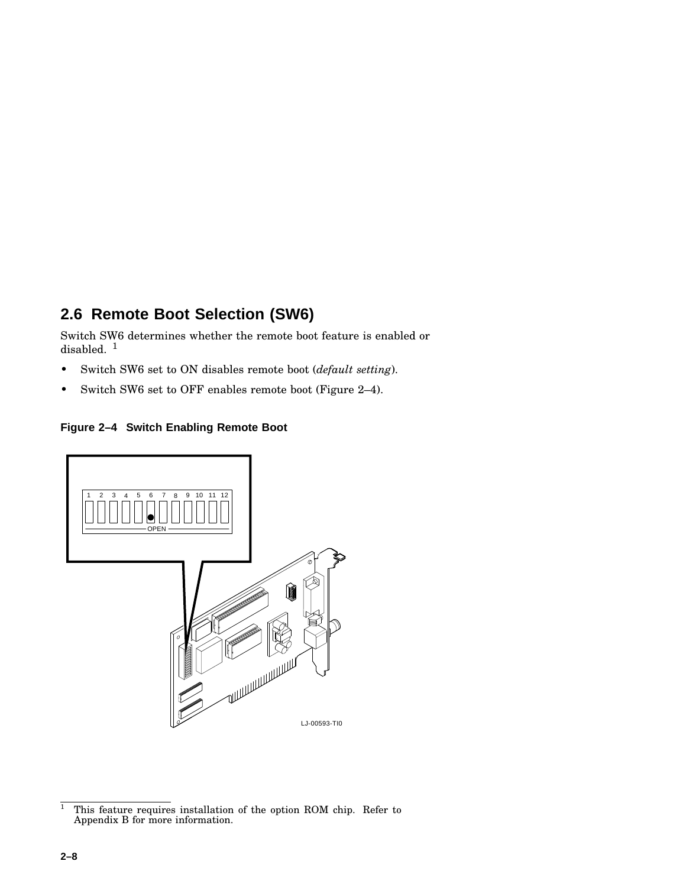## **2.6 Remote Boot Selection (SW6)**

Switch SW6 determines whether the remote boot feature is enabled or disabled.<sup>1</sup>

- Switch SW6 set to ON disables remote boot (*default setting*).
- Switch SW6 set to OFF enables remote boot (Figure 2–4).

#### **Figure 2–4 Switch Enabling Remote Boot**



 $\frac{1}{1}$  This feature requires installation of the option ROM chip. Refer to Appendix B for more information.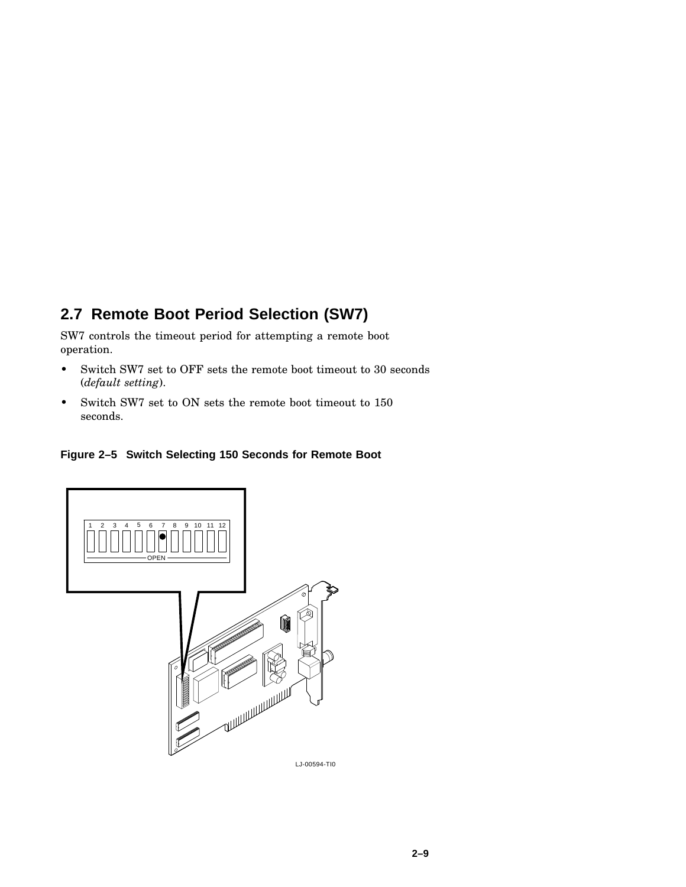## **2.7 Remote Boot Period Selection (SW7)**

SW7 controls the timeout period for attempting a remote boot operation.

- Switch SW7 set to OFF sets the remote boot timeout to 30 seconds (*default setting*).
- Switch SW7 set to ON sets the remote boot timeout to 150 seconds.



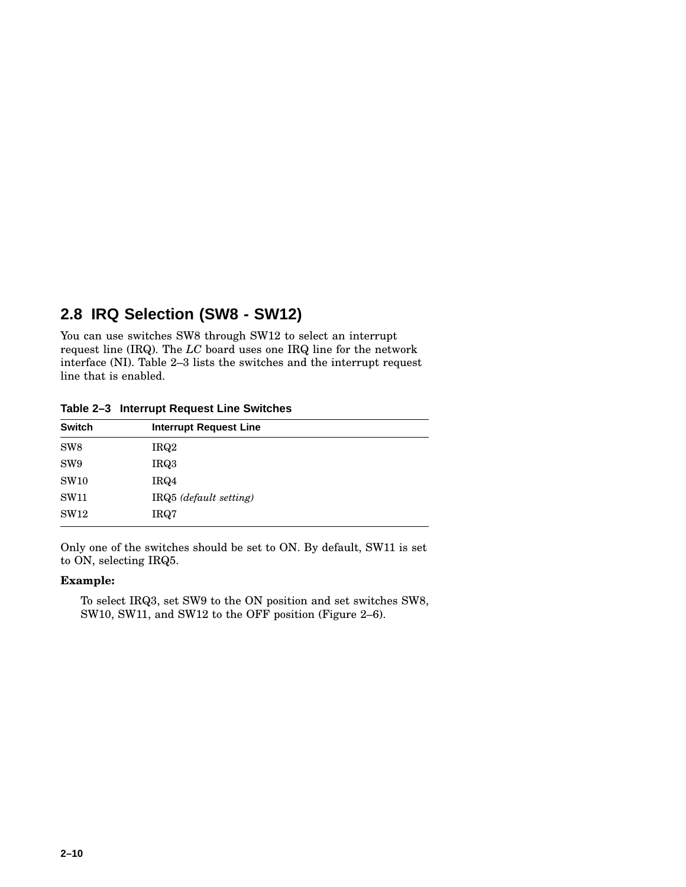#### **2.8 IRQ Selection (SW8 - SW12)**

You can use switches SW8 through SW12 to select an interrupt request line (IRQ). The *LC* board uses one IRQ line for the network interface (NI). Table 2–3 lists the switches and the interrupt request line that is enabled.

| <b>Switch</b>   | <b>Interrupt Request Line</b> |
|-----------------|-------------------------------|
| SW <sub>8</sub> | IRQ <sub>2</sub>              |
| SW <sub>9</sub> | IRQ3                          |
| <b>SW10</b>     | IRQ4                          |
| <b>SW11</b>     | IRQ5 (default setting)        |
| SW12            | IRQ7                          |

**Table 2–3 Interrupt Request Line Switches**

Only one of the switches should be set to ON. By default, SW11 is set to ON, selecting IRQ5.

#### **Example:**

To select IRQ3, set SW9 to the ON position and set switches SW8, SW10, SW11, and SW12 to the OFF position (Figure 2–6).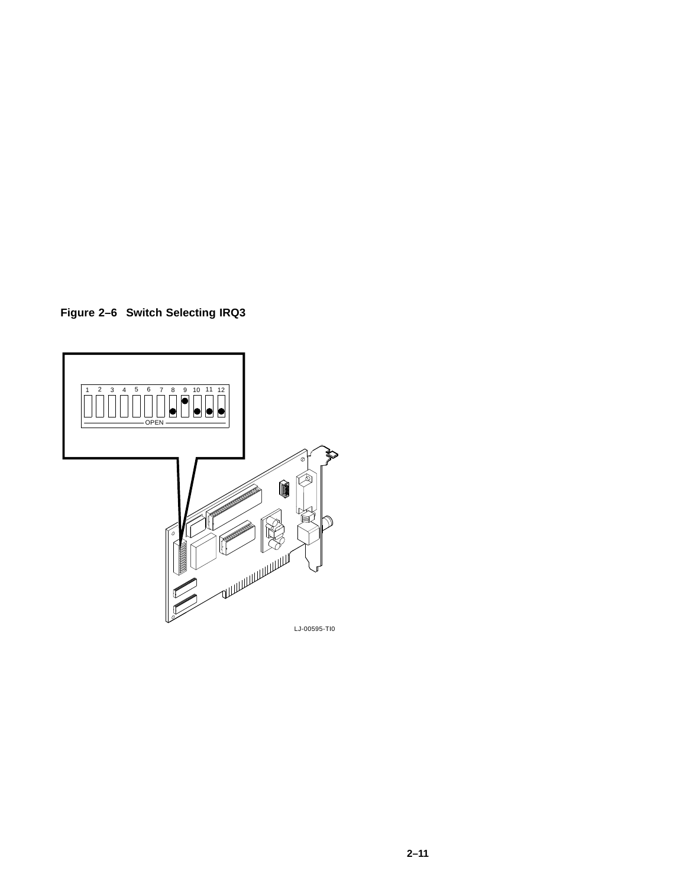**Figure 2–6 Switch Selecting IRQ3**

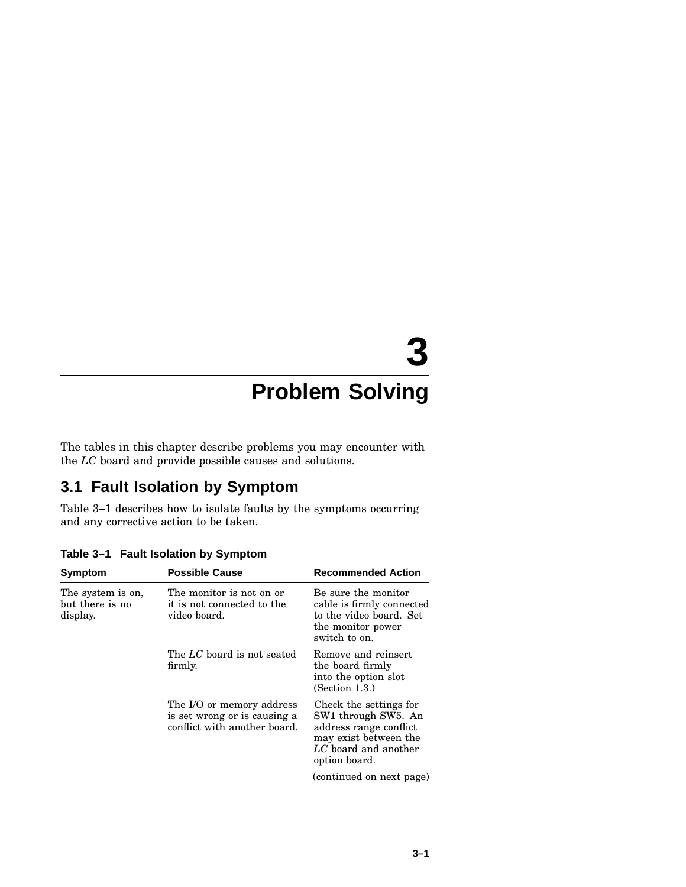# **3**

# **Problem Solving**

The tables in this chapter describe problems you may encounter with the *LC* board and provide possible causes and solutions.

#### **3.1 Fault Isolation by Symptom**

Table 3–1 describes how to isolate faults by the symptoms occurring and any corrective action to be taken.

| Symptom                                          | <b>Possible Cause</b>                                                                     | <b>Recommended Action</b>                                                                                                                 |
|--------------------------------------------------|-------------------------------------------------------------------------------------------|-------------------------------------------------------------------------------------------------------------------------------------------|
| The system is on,<br>but there is no<br>display. | The monitor is not on or<br>it is not connected to the<br>video board.                    | Be sure the monitor<br>cable is firmly connected<br>to the video board. Set<br>the monitor power<br>switch to on.                         |
|                                                  | The LC board is not seated<br>firmly.                                                     | Remove and reinsert<br>the board firmly<br>into the option slot<br>(Section 1.3.)                                                         |
|                                                  | The I/O or memory address<br>is set wrong or is causing a<br>conflict with another board. | Check the settings for<br>SW1 through SW5. An<br>address range conflict<br>may exist between the<br>LC board and another<br>option board. |
|                                                  |                                                                                           | (continued on next page)                                                                                                                  |

**Table 3–1 Fault Isolation by Symptom**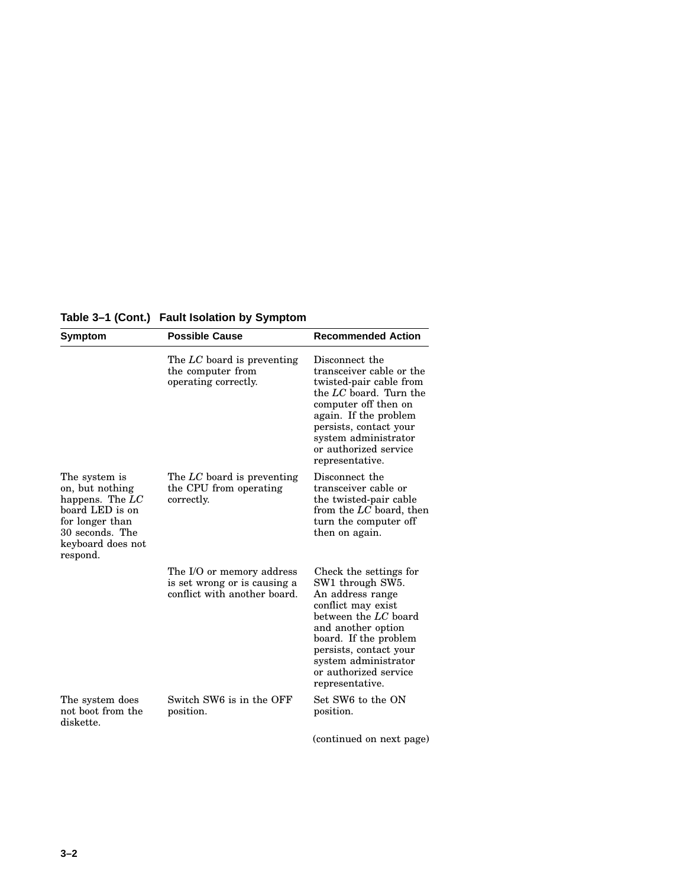| Table 3–1 (Cont.) Fault Isolation by Symptom |  |  |  |  |  |
|----------------------------------------------|--|--|--|--|--|
|----------------------------------------------|--|--|--|--|--|

| Symptom                                                                                                                                         | <b>Possible Cause</b>                                                                     | <b>Recommended Action</b>                                                                                                                                                                                                                                 |
|-------------------------------------------------------------------------------------------------------------------------------------------------|-------------------------------------------------------------------------------------------|-----------------------------------------------------------------------------------------------------------------------------------------------------------------------------------------------------------------------------------------------------------|
|                                                                                                                                                 | The LC board is preventing<br>the computer from<br>operating correctly.                   | Disconnect the<br>transceiver cable or the<br>twisted-pair cable from<br>the LC board. Turn the<br>computer off then on<br>again. If the problem<br>persists, contact your<br>system administrator<br>or authorized service<br>representative.            |
| The system is<br>on, but nothing<br>happens. The $LC$<br>board LED is on<br>for longer than<br>30 seconds. The<br>keyboard does not<br>respond. | The LC board is preventing<br>the CPU from operating<br>correctly.                        | Disconnect the<br>transceiver cable or<br>the twisted-pair cable<br>from the LC board, then<br>turn the computer off<br>then on again.                                                                                                                    |
|                                                                                                                                                 | The I/O or memory address<br>is set wrong or is causing a<br>conflict with another board. | Check the settings for<br>SW1 through SW5.<br>An address range<br>conflict may exist<br>between the LC board<br>and another option<br>board. If the problem<br>persists, contact your<br>system administrator<br>or authorized service<br>representative. |
| The system does<br>not boot from the<br>diskette.                                                                                               | Switch SW6 is in the OFF<br>position.                                                     | Set SW6 to the ON<br>position.                                                                                                                                                                                                                            |
|                                                                                                                                                 |                                                                                           | (continued on next page)                                                                                                                                                                                                                                  |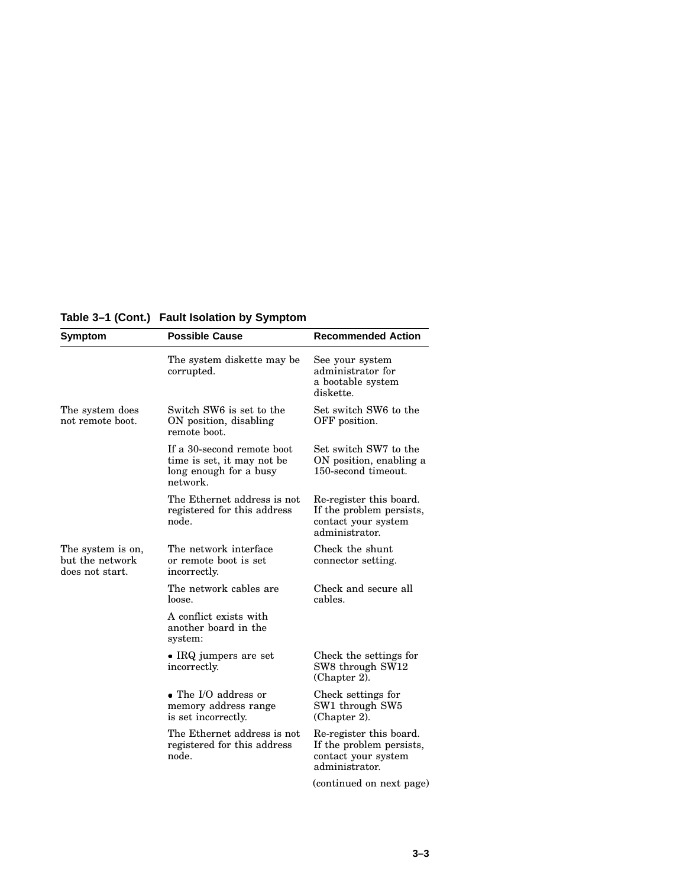**Table 3–1 (Cont.) Fault Isolation by Symptom**

| Symptom                                                 | <b>Possible Cause</b>                                                                          | <b>Recommended Action</b>                                                                    |
|---------------------------------------------------------|------------------------------------------------------------------------------------------------|----------------------------------------------------------------------------------------------|
|                                                         | The system diskette may be<br>corrupted.                                                       | See your system<br>administrator for<br>a bootable system<br>diskette.                       |
| The system does<br>not remote boot.                     | Switch SW6 is set to the<br>ON position, disabling<br>remote boot.                             | Set switch SW6 to the<br>OFF position.                                                       |
|                                                         | If a 30-second remote boot<br>time is set, it may not be<br>long enough for a busy<br>network. | Set switch SW7 to the<br>ON position, enabling a<br>150-second timeout.                      |
|                                                         | The Ethernet address is not<br>registered for this address<br>node.                            | Re-register this board.<br>If the problem persists,<br>contact your system<br>administrator. |
| The system is on,<br>but the network<br>does not start. | The network interface<br>or remote boot is set<br>incorrectly.                                 | Check the shunt<br>connector setting.                                                        |
|                                                         | The network cables are<br>loose.                                                               | Check and secure all<br>cables.                                                              |
|                                                         | A conflict exists with<br>another board in the<br>system:                                      |                                                                                              |
|                                                         | • IRQ jumpers are set<br>incorrectly.                                                          | Check the settings for<br>SW8 through SW12<br>(Chapter 2).                                   |
|                                                         | • The I/O address or<br>memory address range<br>is set incorrectly.                            | Check settings for<br>SW1 through SW5<br>$(Chapter 2)$ .                                     |
|                                                         | The Ethernet address is not<br>registered for this address<br>node.                            | Re-register this board.<br>If the problem persists,<br>contact your system<br>administrator. |
|                                                         |                                                                                                | (continued on next page)                                                                     |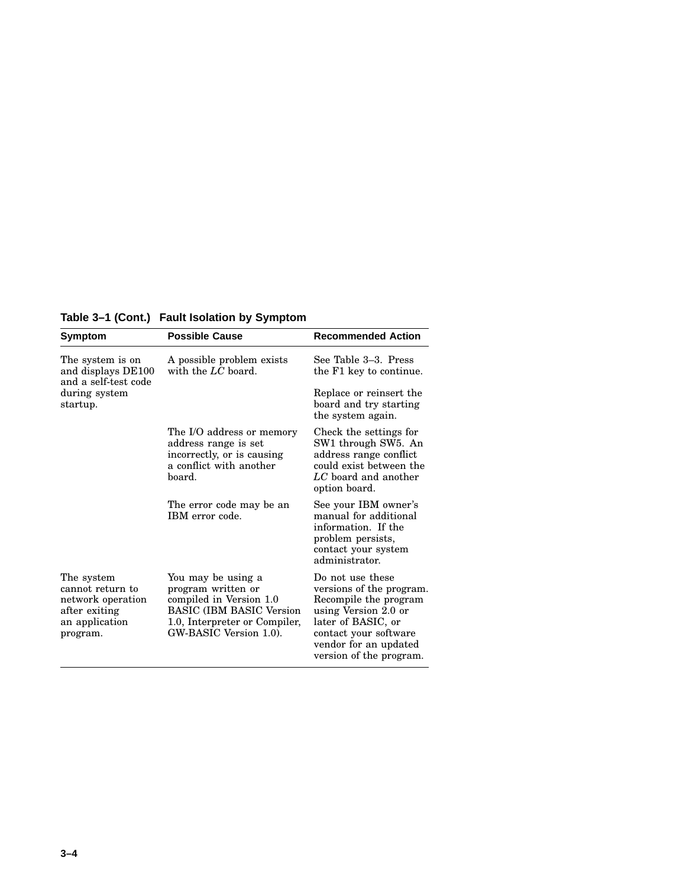| Table 3–1 (Cont.) Fault Isolation by Symptom |  |  |  |
|----------------------------------------------|--|--|--|
|----------------------------------------------|--|--|--|

| Symptom                                                                                            | <b>Possible Cause</b>                                                                                                                                             | <b>Recommended Action</b>                                                                                                                                                                        |
|----------------------------------------------------------------------------------------------------|-------------------------------------------------------------------------------------------------------------------------------------------------------------------|--------------------------------------------------------------------------------------------------------------------------------------------------------------------------------------------------|
| The system is on<br>and displays DE100<br>and a self-test code                                     | A possible problem exists<br>with the $LC$ board.                                                                                                                 | See Table 3–3. Press<br>the F1 key to continue.                                                                                                                                                  |
| during system<br>startup.                                                                          |                                                                                                                                                                   | Replace or reinsert the<br>board and try starting<br>the system again.                                                                                                                           |
|                                                                                                    | The I/O address or memory<br>address range is set<br>incorrectly, or is causing<br>a conflict with another<br>board.                                              | Check the settings for<br>SW1 through SW5. An<br>address range conflict<br>could exist between the<br>$LC$ board and another<br>option board.                                                    |
|                                                                                                    | The error code may be an<br>IBM error code.                                                                                                                       | See your IBM owner's<br>manual for additional<br>information. If the<br>problem persists,<br>contact your system<br>administrator.                                                               |
| The system<br>cannot return to<br>network operation<br>after exiting<br>an application<br>program. | You may be using a<br>program written or<br>compiled in Version 1.0<br><b>BASIC (IBM BASIC Version</b><br>1.0, Interpreter or Compiler,<br>GW-BASIC Version 1.0). | Do not use these<br>versions of the program.<br>Recompile the program<br>using Version 2.0 or<br>later of BASIC, or<br>contact your software<br>vendor for an updated<br>version of the program. |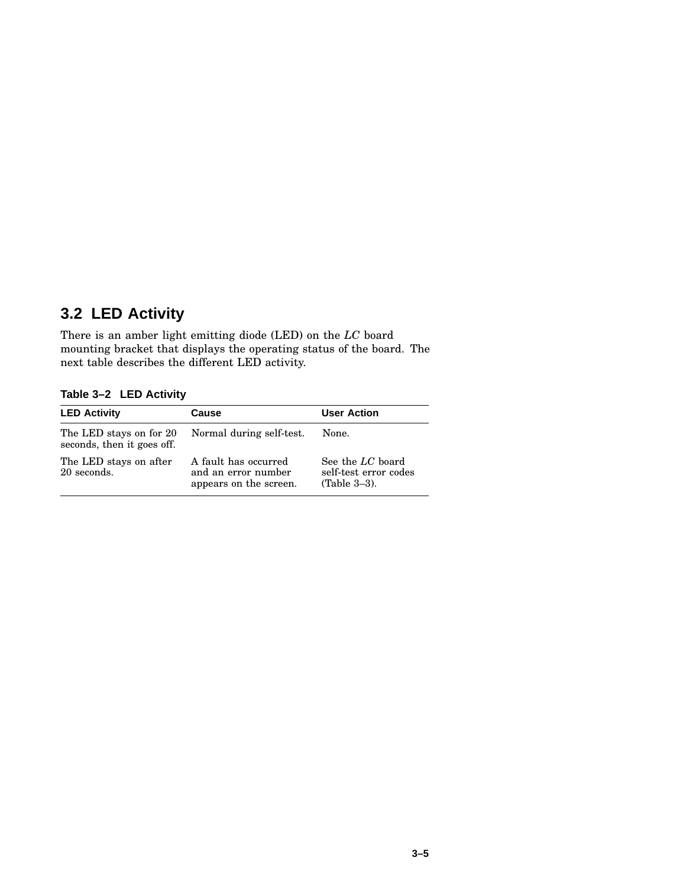## **3.2 LED Activity**

There is an amber light emitting diode (LED) on the *LC* board mounting bracket that displays the operating status of the board. The next table describes the different LED activity.

**Table 3–2 LED Activity**

| <b>LED Activity</b>                                   | Cause                                                                 | <b>User Action</b>                                           |
|-------------------------------------------------------|-----------------------------------------------------------------------|--------------------------------------------------------------|
| The LED stays on for 20<br>seconds, then it goes off. | Normal during self-test.                                              | None.                                                        |
| The LED stays on after<br>20 seconds.                 | A fault has occurred<br>and an error number<br>appears on the screen. | See the LC board<br>self-test error codes<br>$(Table 3-3)$ . |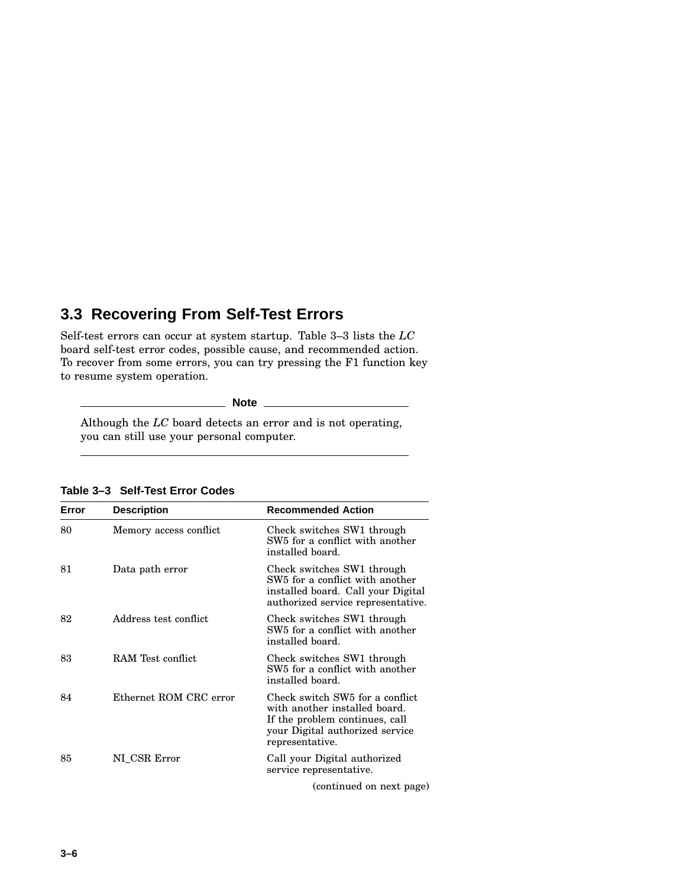#### **3.3 Recovering From Self-Test Errors**

Self-test errors can occur at system startup. Table 3–3 lists the *LC* board self-test error codes, possible cause, and recommended action. To recover from some errors, you can try pressing the F1 function key to resume system operation.

**Note**

Although the *LC* board detects an error and is not operating, you can still use your personal computer.

| Error | <b>Description</b>     | <b>Recommended Action</b>                                                                                                                                |
|-------|------------------------|----------------------------------------------------------------------------------------------------------------------------------------------------------|
| 80    | Memory access conflict | Check switches SW1 through<br>SW <sub>5</sub> for a conflict with another<br>installed board.                                                            |
| 81    | Data path error        | Check switches SW1 through<br>SW <sub>5</sub> for a conflict with another<br>installed board. Call your Digital<br>authorized service representative.    |
| 82    | Address test conflict  | Check switches SW1 through<br>SW <sub>5</sub> for a conflict with another<br>installed board.                                                            |
| 83    | RAM Test conflict      | Check switches SW1 through<br>SW <sub>5</sub> for a conflict with another<br>installed board.                                                            |
| 84    | Ethernet ROM CRC error | Check switch SW5 for a conflict<br>with another installed board.<br>If the problem continues, call<br>your Digital authorized service<br>representative. |
| 85    | NI CSR Error           | Call your Digital authorized<br>service representative.                                                                                                  |
|       |                        | (continued on next page)                                                                                                                                 |

**Table 3–3 Self-Test Error Codes**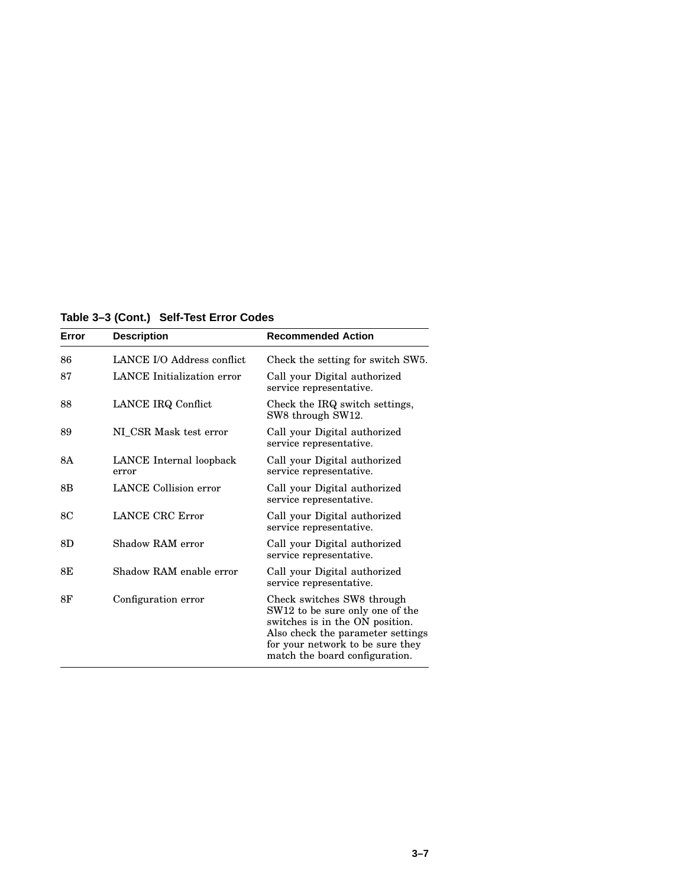**Table 3–3 (Cont.) Self-Test Error Codes**

| Error | <b>Description</b>                | <b>Recommended Action</b>                                                                                                                                                                                   |
|-------|-----------------------------------|-------------------------------------------------------------------------------------------------------------------------------------------------------------------------------------------------------------|
| 86    | LANCE I/O Address conflict.       | Check the setting for switch SW5.                                                                                                                                                                           |
| 87    | <b>LANCE</b> Initialization error | Call your Digital authorized<br>service representative.                                                                                                                                                     |
| 88    | LANCE IRQ Conflict                | Check the IRQ switch settings,<br>SW8 through SW12.                                                                                                                                                         |
| 89    | NI_CSR Mask test error            | Call your Digital authorized<br>service representative.                                                                                                                                                     |
| 8A    | LANCE Internal loopback<br>error  | Call your Digital authorized<br>service representative.                                                                                                                                                     |
| 8B    | <b>LANCE</b> Collision error      | Call your Digital authorized<br>service representative.                                                                                                                                                     |
| 8C    | LANCE CRC Error                   | Call your Digital authorized<br>service representative.                                                                                                                                                     |
| 8D    | Shadow RAM error                  | Call your Digital authorized<br>service representative.                                                                                                                                                     |
| 8E    | Shadow RAM enable error           | Call your Digital authorized<br>service representative.                                                                                                                                                     |
| 8F    | Configuration error               | Check switches SW8 through<br>SW12 to be sure only one of the<br>switches is in the ON position.<br>Also check the parameter settings<br>for your network to be sure they<br>match the board configuration. |

 $\overline{a}$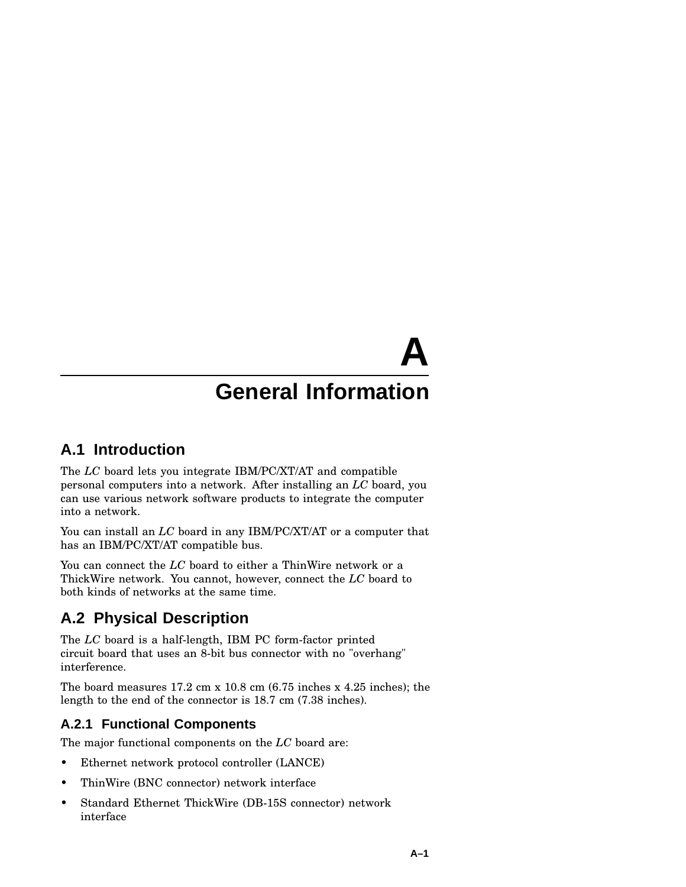# **General Information**

**A**

#### **A.1 Introduction**

The *LC* board lets you integrate IBM/PC/XT/AT and compatible personal computers into a network. After installing an *LC* board, you can use various network software products to integrate the computer into a network.

You can install an *LC* board in any IBM/PC/XT/AT or a computer that has an IBM/PC/XT/AT compatible bus.

You can connect the *LC* board to either a ThinWire network or a ThickWire network. You cannot, however, connect the *LC* board to both kinds of networks at the same time.

## **A.2 Physical Description**

The *LC* board is a half-length, IBM PC form-factor printed circuit board that uses an 8-bit bus connector with no "overhang" interference.

The board measures 17.2 cm x 10.8 cm (6.75 inches x 4.25 inches); the length to the end of the connector is 18.7 cm (7.38 inches).

#### **A.2.1 Functional Components**

The major functional components on the *LC* board are:

- Ethernet network protocol controller (LANCE)
- ThinWire (BNC connector) network interface
- Standard Ethernet ThickWire (DB-15S connector) network interface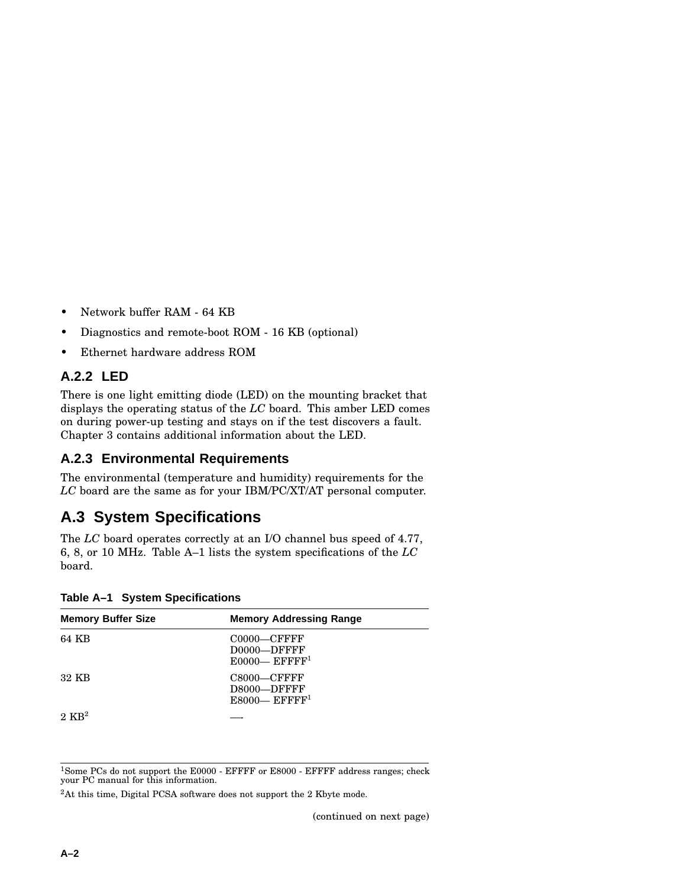- Network buffer RAM 64 KB
- Diagnostics and remote-boot ROM 16 KB (optional)
- Ethernet hardware address ROM

#### **A.2.2 LED**

There is one light emitting diode (LED) on the mounting bracket that displays the operating status of the *LC* board. This amber LED comes on during power-up testing and stays on if the test discovers a fault. Chapter 3 contains additional information about the LED.

#### **A.2.3 Environmental Requirements**

The environmental (temperature and humidity) requirements for the *LC* board are the same as for your IBM/PC/XT/AT personal computer.

#### **A.3 System Specifications**

The *LC* board operates correctly at an I/O channel bus speed of 4.77, 6, 8, or 10 MHz. Table A–1 lists the system specifications of the *LC* board.

| <b>Memory Buffer Size</b> | <b>Memory Addressing Range</b>                                |
|---------------------------|---------------------------------------------------------------|
| 64 KB                     | $C0000-CFFFFF$<br>D0000-DFFFF<br>$E0000$ — EFFFF <sup>1</sup> |
| 32 KB                     | $C8000-CFFFFF$<br>D8000-DFFFF<br>$E8000$ — EFFFF <sup>1</sup> |
| $2 \text{ KR}^2$          |                                                               |

**Table A–1 System Specifications**

<sup>1</sup>Some PCs do not support the E0000 - EFFFF or E8000 - EFFFF address ranges; check your PC manual for this information.

<sup>2</sup>At this time, Digital PCSA software does not support the 2 Kbyte mode.

(continued on next page)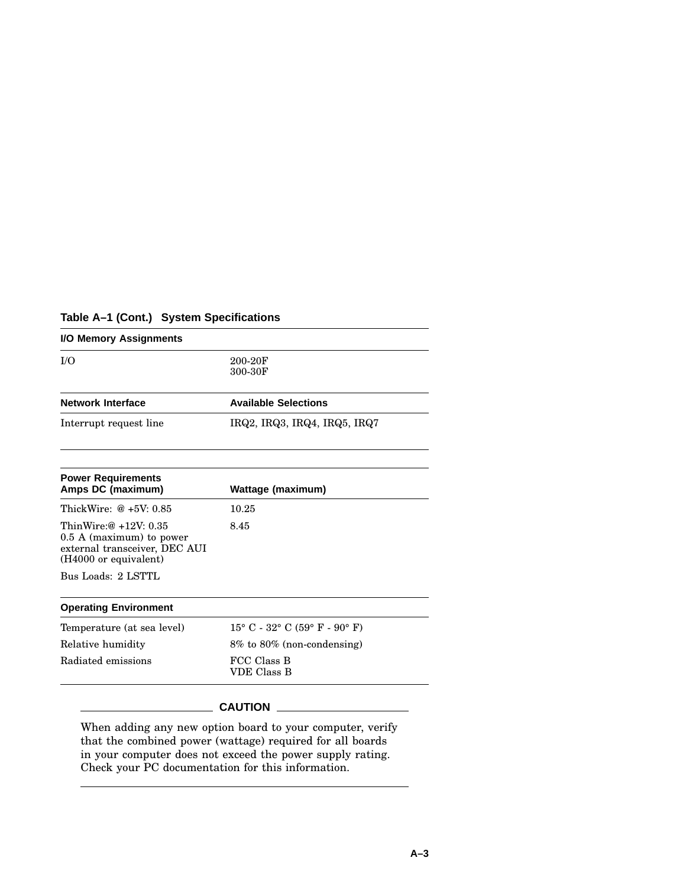#### **Table A–1 (Cont.) System Specifications**

| 200-20F<br>300-30F                     |  |
|----------------------------------------|--|
| <b>Available Selections</b>            |  |
| IRQ2, IRQ3, IRQ4, IRQ5, IRQ7           |  |
| <b>Wattage (maximum)</b>               |  |
| 10.25                                  |  |
| 8.45                                   |  |
|                                        |  |
|                                        |  |
| $15^{\circ}$ C - 32° C (59° F - 90° F) |  |
| $8\%$ to $80\%$ (non-condensing)       |  |
| FCC Class B                            |  |
|                                        |  |

When adding any new option board to your computer, verify that the combined power (wattage) required for all boards in your computer does not exceed the power supply rating. Check your PC documentation for this information.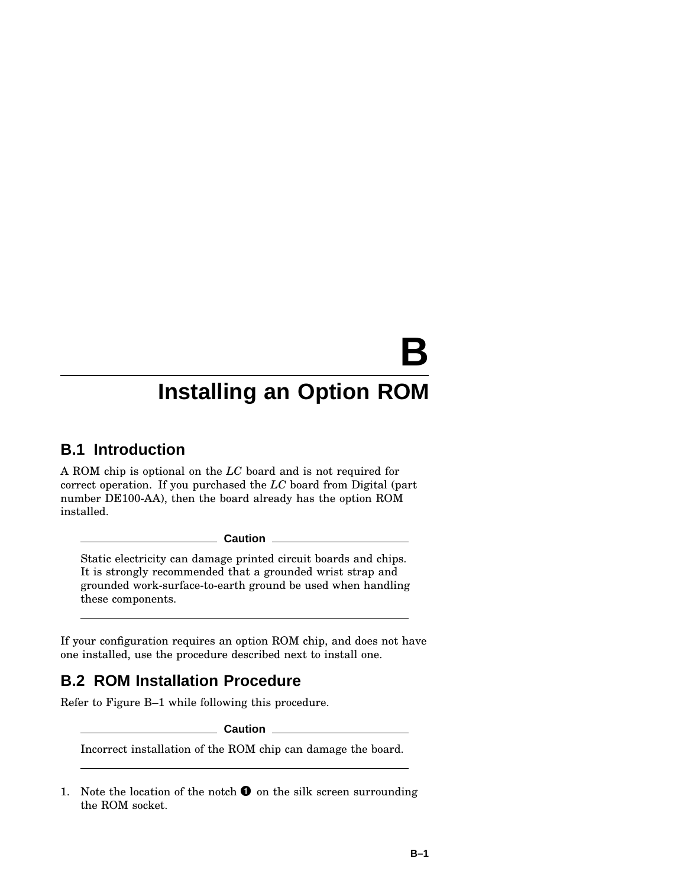**B**

# **Installing an Option ROM**

## **B.1 Introduction**

A ROM chip is optional on the *LC* board and is not required for correct operation. If you purchased the *LC* board from Digital (part number DE100-AA), then the board already has the option ROM installed.

**Caution**

Static electricity can damage printed circuit boards and chips. It is strongly recommended that a grounded wrist strap and grounded work-surface-to-earth ground be used when handling these components.

If your configuration requires an option ROM chip, and does not have one installed, use the procedure described next to install one.

## **B.2 ROM Installation Procedure**

Refer to Figure B–1 while following this procedure.

**Caution**

Incorrect installation of the ROM chip can damage the board.

1. Note the location of the notch  $\bullet$  on the silk screen surrounding the ROM socket.